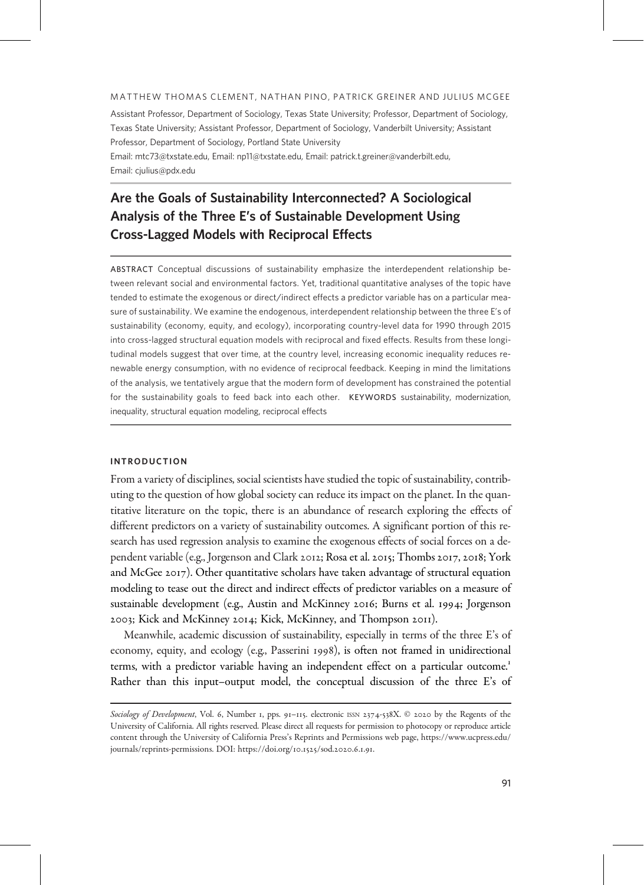#### MATTHEW THOMAS CLEMENT, NATHAN PINO, PATRICK GREINER AND JULIUS MCGEE

Assistant Professor, Department of Sociology, Texas State University; Professor, Department of Sociology, Texas State University; Assistant Professor, Department of Sociology, Vanderbilt University; Assistant Professor, Department of Sociology, Portland State University

Email: [mtc73@txstate.edu](mailto:mtc73@txstate.edu), Email: [np11@txstate.edu,](mailto:np11@txstate.edu) Email: [patrick.t.greiner@vanderbilt.edu,](mailto:patrick.t.greiner@vanderbilt.edu) Email: [cjulius@pdx.edu](mailto:cjulius@pdx.edu)

# Are the Goals of Sustainability Interconnected? A Sociological Analysis of the Three E's of Sustainable Development Using Cross-Lagged Models with Reciprocal Effects

ABSTRACT Conceptual discussions of sustainability emphasize the interdependent relationship between relevant social and environmental factors. Yet, traditional quantitative analyses of the topic have tended to estimate the exogenous or direct/indirect effects a predictor variable has on a particular measure of sustainability. We examine the endogenous, interdependent relationship between the three E's of sustainability (economy, equity, and ecology), incorporating country-level data for 1990 through 2015 into cross-lagged structural equation models with reciprocal and fixed effects. Results from these longitudinal models suggest that over time, at the country level, increasing economic inequality reduces renewable energy consumption, with no evidence of reciprocal feedback. Keeping in mind the limitations of the analysis, we tentatively argue that the modern form of development has constrained the potential for the sustainability goals to feed back into each other. KEYWORDS sustainability, modernization, inequality, structural equation modeling, reciprocal effects

## INTRODUCTION

From a variety of disciplines, social scientists have studied the topic of sustainability, contributing to the question of how global society can reduce its impact on the planet. In the quantitative literature on the topic, there is an abundance of research exploring the effects of different predictors on a variety of sustainability outcomes. A significant portion of this research has used regression analysis to examine the exogenous effects of social forces on a dependent variable (e.g., Jorgenson and Clark 2012; Rosa et al. 2015; Thombs 2017, 2018; York and McGee  $2017$ ). Other quantitative scholars have taken advantage of structural equation modeling to tease out the direct and indirect effects of predictor variables on a measure of sustainable development (e.g., Austin and McKinney 2016; Burns et al. 1994; Jorgenson 2003; Kick and McKinney 2014; Kick, McKinney, and Thompson 2011).

Meanwhile, academic discussion of sustainability, especially in terms of the three E's of economy, equity, and ecology (e.g., Passerini 1998), is often not framed in unidirectional terms, with a predictor variable having an independent effect on a particular outcome. Rather than this input–output model, the conceptual discussion of the three E's of

Sociology of Development, Vol. 6, Number 1, pps. 91-115. electronic ISSN 2374-538X. © 2020 by the Regents of the University of California. All rights reserved. Please direct all requests for permission to photocopy or reproduce article content through the University of California Press's Reprints and Permissions web page, [https://www.ucpress.edu/](https://www.ucpress.edu/journals/reprints-permissions) [journals/reprints-permissions.](https://www.ucpress.edu/journals/reprints-permissions) DOI: [https://doi.org/](https://doi.org/10.1525/sod.2020.6.1.91)10.1525/sod.2020.6.1.91.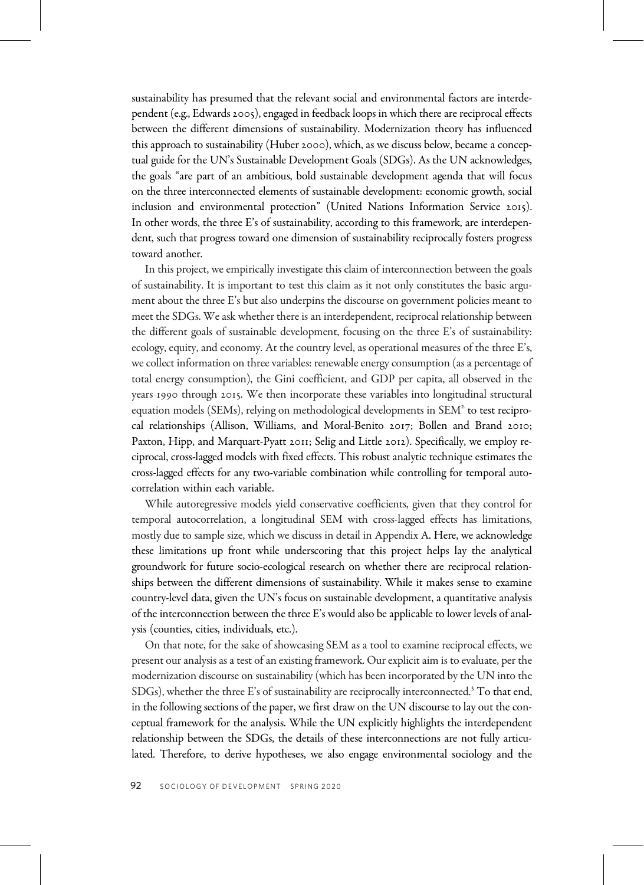sustainability has presumed that the relevant social and environmental factors are interdependent (e.g., Edwards  $2005$ ), engaged in feedback loops in which there are reciprocal effects between the different dimensions of sustainability. Modernization theory has influenced this approach to sustainability (Huber 2000), which, as we discuss below, became a conceptual guide for the UN's Sustainable Development Goals (SDGs). As the UN acknowledges, the goals "are part of an ambitious, bold sustainable development agenda that will focus on the three interconnected elements of sustainable development: economic growth, social inclusion and environmental protection" (United Nations Information Service 2015). In other words, the three E's of sustainability, according to this framework, are interdependent, such that progress toward one dimension of sustainability reciprocally fosters progress toward another.

In this project, we empirically investigate this claim of interconnection between the goals of sustainability. It is important to test this claim as it not only constitutes the basic argument about the three E's but also underpins the discourse on government policies meant to meet the SDGs. We ask whether there is an interdependent, reciprocal relationship between the different goals of sustainable development, focusing on the three E's of sustainability: ecology, equity, and economy. At the country level, as operational measures of the three E's, we collect information on three variables: renewable energy consumption (as a percentage of total energy consumption), the Gini coefficient, and GDP per capita, all observed in the years 1990 through 2015. We then incorporate these variables into longitudinal structural equation models (SEMs), relying on methodological developments in  $SEM<sup>2</sup>$  to test reciprocal relationships (Allison, Williams, and Moral-Benito 2017; Bollen and Brand 2010; Paxton, Hipp, and Marquart-Pyatt 2011; Selig and Little 2012). Specifically, we employ reciprocal, cross-lagged models with fixed effects. This robust analytic technique estimates the cross-lagged effects for any two-variable combination while controlling for temporal autocorrelation within each variable.

While autoregressive models yield conservative coefficients, given that they control for temporal autocorrelation, a longitudinal SEM with cross-lagged effects has limitations, mostly due to sample size, which we discuss in detail in Appendix A. Here, we acknowledge these limitations up front while underscoring that this project helps lay the analytical groundwork for future socio-ecological research on whether there are reciprocal relationships between the different dimensions of sustainability. While it makes sense to examine country-level data, given the UN's focus on sustainable development, a quantitative analysis of the interconnection between the three E's would also be applicable to lower levels of analysis (counties, cities, individuals, etc.).

On that note, for the sake of showcasing SEM as a tool to examine reciprocal effects, we present our analysis as a test of an existing framework. Our explicit aim is to evaluate, per the modernization discourse on sustainability (which has been incorporated by the UN into the SDGs), whether the three E's of sustainability are reciprocally interconnected. To that end, in the following sections of the paper, we first draw on the UN discourse to lay out the conceptual framework for the analysis. While the UN explicitly highlights the interdependent relationship between the SDGs, the details of these interconnections are not fully articulated. Therefore, to derive hypotheses, we also engage environmental sociology and the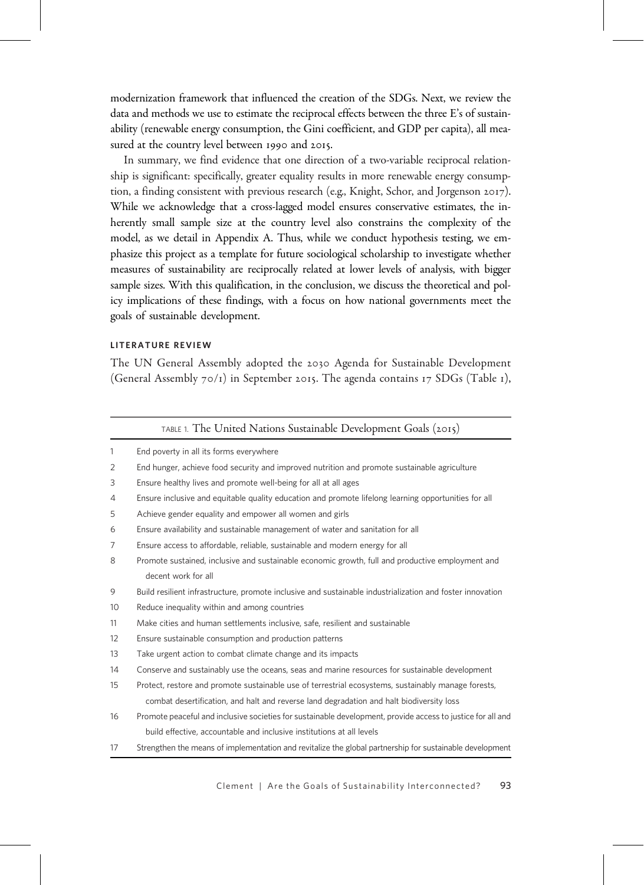modernization framework that influenced the creation of the SDGs. Next, we review the data and methods we use to estimate the reciprocal effects between the three E's of sustainability (renewable energy consumption, the Gini coefficient, and GDP per capita), all measured at the country level between 1990 and 2015.

In summary, we find evidence that one direction of a two-variable reciprocal relationship is significant: specifically, greater equality results in more renewable energy consumption, a finding consistent with previous research (e.g., Knight, Schor, and Jorgenson 2017). While we acknowledge that a cross-lagged model ensures conservative estimates, the inherently small sample size at the country level also constrains the complexity of the model, as we detail in Appendix A. Thus, while we conduct hypothesis testing, we emphasize this project as a template for future sociological scholarship to investigate whether measures of sustainability are reciprocally related at lower levels of analysis, with bigger sample sizes. With this qualification, in the conclusion, we discuss the theoretical and policy implications of these findings, with a focus on how national governments meet the goals of sustainable development.

## LITERATURE REVIEW

The UN General Assembly adopted the 2030 Agenda for Sustainable Development (General Assembly  $70/1$ ) in September 2015. The agenda contains 17 SDGs (Table 1),

|    | TABLE 1. The United Nations Sustainable Development Goals (2015)                                            |
|----|-------------------------------------------------------------------------------------------------------------|
| 1  | End poverty in all its forms everywhere                                                                     |
| 2  | End hunger, achieve food security and improved nutrition and promote sustainable agriculture                |
| 3  | Ensure healthy lives and promote well-being for all at all ages                                             |
| 4  | Ensure inclusive and equitable quality education and promote lifelong learning opportunities for all        |
| 5  | Achieve gender equality and empower all women and girls                                                     |
| 6  | Ensure availability and sustainable management of water and sanitation for all                              |
| 7  | Ensure access to affordable, reliable, sustainable and modern energy for all                                |
| 8  | Promote sustained, inclusive and sustainable economic growth, full and productive employment and            |
|    | decent work for all                                                                                         |
| 9  | Build resilient infrastructure, promote inclusive and sustainable industrialization and foster innovation   |
| 10 | Reduce inequality within and among countries                                                                |
| 11 | Make cities and human settlements inclusive, safe, resilient and sustainable                                |
| 12 | Ensure sustainable consumption and production patterns                                                      |
| 13 | Take urgent action to combat climate change and its impacts                                                 |
| 14 | Conserve and sustainably use the oceans, seas and marine resources for sustainable development              |
| 15 | Protect, restore and promote sustainable use of terrestrial ecosystems, sustainably manage forests,         |
|    | combat desertification, and halt and reverse land degradation and halt biodiversity loss                    |
| 16 | Promote peaceful and inclusive societies for sustainable development, provide access to justice for all and |
|    | build effective, accountable and inclusive institutions at all levels                                       |
| 17 | Strengthen the means of implementation and revitalize the global partnership for sustainable development    |

Clement | Are the Goals of Sustainability Interconnected? 93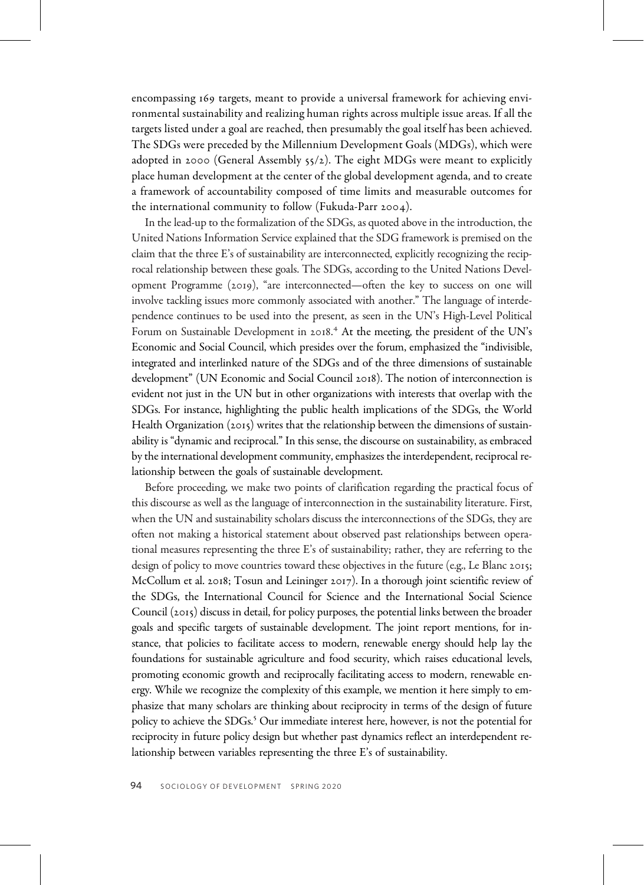encompassing 169 targets, meant to provide a universal framework for achieving environmental sustainability and realizing human rights across multiple issue areas. If all the targets listed under a goal are reached, then presumably the goal itself has been achieved. The SDGs were preceded by the Millennium Development Goals (MDGs), which were adopted in 2000 (General Assembly 55/2). The eight MDGs were meant to explicitly place human development at the center of the global development agenda, and to create a framework of accountability composed of time limits and measurable outcomes for the international community to follow (Fukuda-Parr 2004).

In the lead-up to the formalization of the SDGs, as quoted above in the introduction, the United Nations Information Service explained that the SDG framework is premised on the claim that the three E's of sustainability are interconnected, explicitly recognizing the reciprocal relationship between these goals. The SDGs, according to the United Nations Development Programme (2019), "are interconnected—often the key to success on one will involve tackling issues more commonly associated with another." The language of interdependence continues to be used into the present, as seen in the UN's High-Level Political Forum on Sustainable Development in 2018.<sup>4</sup> At the meeting, the president of the UN's Economic and Social Council, which presides over the forum, emphasized the "indivisible, integrated and interlinked nature of the SDGs and of the three dimensions of sustainable development" (UN Economic and Social Council 2018). The notion of interconnection is evident not just in the UN but in other organizations with interests that overlap with the SDGs. For instance, highlighting the public health implications of the SDGs, the World Health Organization (2015) writes that the relationship between the dimensions of sustainability is "dynamic and reciprocal." In this sense, the discourse on sustainability, as embraced by the international development community, emphasizes the interdependent, reciprocal relationship between the goals of sustainable development.

Before proceeding, we make two points of clarification regarding the practical focus of this discourse as well as the language of interconnection in the sustainability literature. First, when the UN and sustainability scholars discuss the interconnections of the SDGs, they are often not making a historical statement about observed past relationships between operational measures representing the three E's of sustainability; rather, they are referring to the design of policy to move countries toward these objectives in the future (e.g., Le Blanc 2015; McCollum et al. 2018; Tosun and Leininger 2017). In a thorough joint scientific review of the SDGs, the International Council for Science and the International Social Science Council (2015) discuss in detail, for policy purposes, the potential links between the broader goals and specific targets of sustainable development. The joint report mentions, for instance, that policies to facilitate access to modern, renewable energy should help lay the foundations for sustainable agriculture and food security, which raises educational levels, promoting economic growth and reciprocally facilitating access to modern, renewable energy. While we recognize the complexity of this example, we mention it here simply to emphasize that many scholars are thinking about reciprocity in terms of the design of future policy to achieve the SDGs. Our immediate interest here, however, is not the potential for reciprocity in future policy design but whether past dynamics reflect an interdependent relationship between variables representing the three E's of sustainability.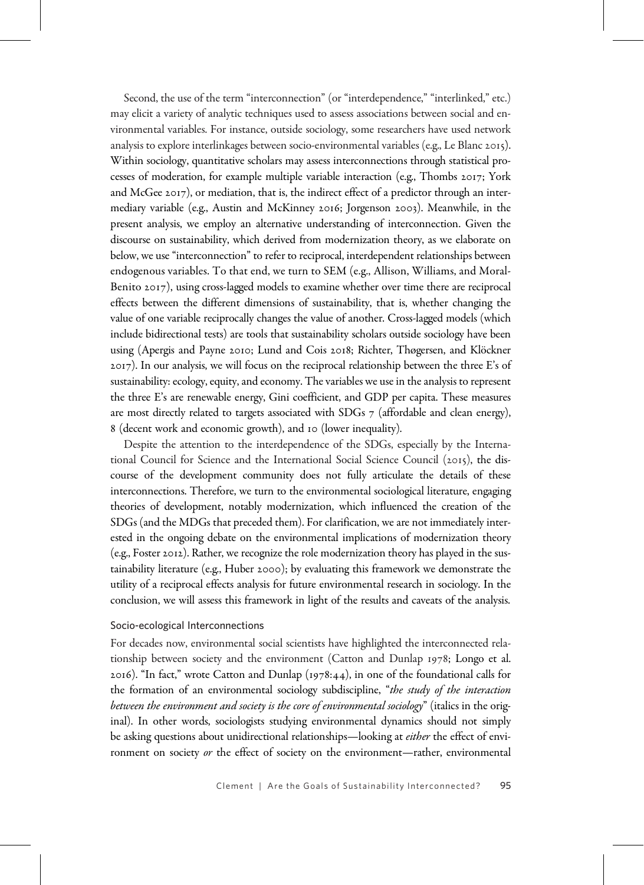Second, the use of the term "interconnection" (or "interdependence," "interlinked," etc.) may elicit a variety of analytic techniques used to assess associations between social and environmental variables. For instance, outside sociology, some researchers have used network analysis to explore interlinkages between socio-environmental variables (e.g., Le Blanc 2015). Within sociology, quantitative scholars may assess interconnections through statistical processes of moderation, for example multiple variable interaction (e.g., Thombs  $2017$ ; York and McGee  $2017$ ), or mediation, that is, the indirect effect of a predictor through an intermediary variable (e.g., Austin and McKinney 2016; Jorgenson 2003). Meanwhile, in the present analysis, we employ an alternative understanding of interconnection. Given the discourse on sustainability, which derived from modernization theory, as we elaborate on below, we use "interconnection" to refer to reciprocal, interdependent relationships between endogenous variables. To that end, we turn to SEM (e.g., Allison, Williams, and Moral-Benito  $2017$ ), using cross-lagged models to examine whether over time there are reciprocal effects between the different dimensions of sustainability, that is, whether changing the value of one variable reciprocally changes the value of another. Cross-lagged models (which include bidirectional tests) are tools that sustainability scholars outside sociology have been using (Apergis and Payne 2010; Lund and Cois 2018; Richter, Thøgersen, and Klöckner ). In our analysis, we will focus on the reciprocal relationship between the three E's of sustainability: ecology, equity, and economy. The variables we use in the analysis to represent the three E's are renewable energy, Gini coefficient, and GDP per capita. These measures are most directly related to targets associated with SDGs  $7$  (affordable and clean energy), 8 (decent work and economic growth), and 10 (lower inequality).

Despite the attention to the interdependence of the SDGs, especially by the International Council for Science and the International Social Science Council  $(2015)$ , the discourse of the development community does not fully articulate the details of these interconnections. Therefore, we turn to the environmental sociological literature, engaging theories of development, notably modernization, which influenced the creation of the SDGs (and the MDGs that preceded them). For clarification, we are not immediately interested in the ongoing debate on the environmental implications of modernization theory  $(e.g., Foster 2012)$ . Rather, we recognize the role modernization theory has played in the sustainability literature (e.g., Huber 2000); by evaluating this framework we demonstrate the utility of a reciprocal effects analysis for future environmental research in sociology. In the conclusion, we will assess this framework in light of the results and caveats of the analysis.

#### Socio-ecological Interconnections

For decades now, environmental social scientists have highlighted the interconnected relationship between society and the environment (Catton and Dunlap 1978; Longo et al. 2016). "In fact," wrote Catton and Dunlap  $(1978:44)$ , in one of the foundational calls for the formation of an environmental sociology subdiscipline, "the study of the interaction between the environment and society is the core of environmental sociology" (italics in the original). In other words, sociologists studying environmental dynamics should not simply be asking questions about unidirectional relationships—looking at *either* the effect of environment on society or the effect of society on the environment—rather, environmental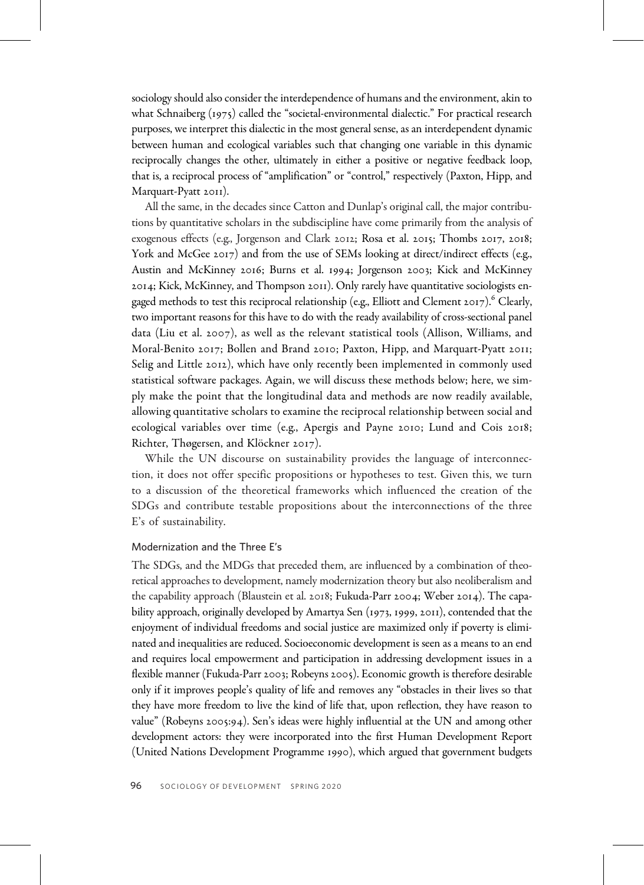sociology should also consider the interdependence of humans and the environment, akin to what Schnaiberg  $(1975)$  called the "societal-environmental dialectic." For practical research purposes, we interpret this dialectic in the most general sense, as an interdependent dynamic between human and ecological variables such that changing one variable in this dynamic reciprocally changes the other, ultimately in either a positive or negative feedback loop, that is, a reciprocal process of "amplification" or "control," respectively (Paxton, Hipp, and Marquart-Pyatt 2011).

All the same, in the decades since Catton and Dunlap's original call, the major contributions by quantitative scholars in the subdiscipline have come primarily from the analysis of exogenous effects (e.g., Jorgenson and Clark 2012; Rosa et al. 2015; Thombs 2017, 2018; York and McGee  $2017$ ) and from the use of SEMs looking at direct/indirect effects (e.g., Austin and McKinney 2016; Burns et al. 1994; Jorgenson 2003; Kick and McKinney  $2014$ ; Kick, McKinney, and Thompson  $2011$ ). Only rarely have quantitative sociologists engaged methods to test this reciprocal relationship (e.g., Elliott and Clement 2017). Clearly, two important reasons for this have to do with the ready availability of cross-sectional panel data (Liu et al. 2007), as well as the relevant statistical tools (Allison, Williams, and Moral-Benito 2017; Bollen and Brand 2010; Paxton, Hipp, and Marquart-Pyatt 2011; Selig and Little 2012), which have only recently been implemented in commonly used statistical software packages. Again, we will discuss these methods below; here, we simply make the point that the longitudinal data and methods are now readily available, allowing quantitative scholars to examine the reciprocal relationship between social and ecological variables over time (e.g., Apergis and Payne 2010; Lund and Cois 2018; Richter, Thøgersen, and Klöckner 2017).

While the UN discourse on sustainability provides the language of interconnection, it does not offer specific propositions or hypotheses to test. Given this, we turn to a discussion of the theoretical frameworks which influenced the creation of the SDGs and contribute testable propositions about the interconnections of the three E's of sustainability.

#### Modernization and the Three E's

The SDGs, and the MDGs that preceded them, are influenced by a combination of theoretical approaches to development, namely modernization theory but also neoliberalism and the capability approach (Blaustein et al.  $2018$ ; Fukuda-Parr  $2004$ ; Weber  $2014$ ). The capability approach, originally developed by Amartya Sen (1973, 1999, 2011), contended that the enjoyment of individual freedoms and social justice are maximized only if poverty is eliminated and inequalities are reduced. Socioeconomic development is seen as a means to an end and requires local empowerment and participation in addressing development issues in a flexible manner (Fukuda-Parr 2003; Robeyns 2005). Economic growth is therefore desirable only if it improves people's quality of life and removes any "obstacles in their lives so that they have more freedom to live the kind of life that, upon reflection, they have reason to value" (Robeyns 2005:94). Sen's ideas were highly influential at the UN and among other development actors: they were incorporated into the first Human Development Report (United Nations Development Programme 1990), which argued that government budgets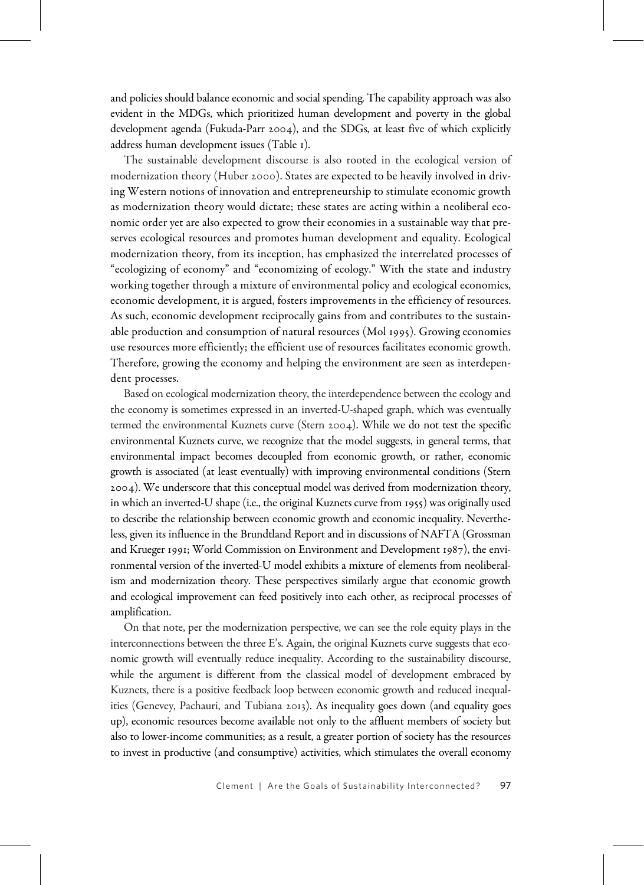and policies should balance economic and social spending. The capability approach was also evident in the MDGs, which prioritized human development and poverty in the global development agenda (Fukuda-Parr  $2004$ ), and the SDGs, at least five of which explicitly address human development issues (Table ).

The sustainable development discourse is also rooted in the ecological version of modernization theory (Huber 2000). States are expected to be heavily involved in driving Western notions of innovation and entrepreneurship to stimulate economic growth as modernization theory would dictate; these states are acting within a neoliberal economic order yet are also expected to grow their economies in a sustainable way that preserves ecological resources and promotes human development and equality. Ecological modernization theory, from its inception, has emphasized the interrelated processes of "ecologizing of economy" and "economizing of ecology." With the state and industry working together through a mixture of environmental policy and ecological economics, economic development, it is argued, fosters improvements in the efficiency of resources. As such, economic development reciprocally gains from and contributes to the sustainable production and consumption of natural resources (Mol 1995). Growing economies use resources more efficiently; the efficient use of resources facilitates economic growth. Therefore, growing the economy and helping the environment are seen as interdependent processes.

Based on ecological modernization theory, the interdependence between the ecology and the economy is sometimes expressed in an inverted-U-shaped graph, which was eventually termed the environmental Kuznets curve (Stern 2004). While we do not test the specific environmental Kuznets curve, we recognize that the model suggests, in general terms, that environmental impact becomes decoupled from economic growth, or rather, economic growth is associated (at least eventually) with improving environmental conditions (Stern ). We underscore that this conceptual model was derived from modernization theory, in which an inverted-U shape (i.e., the original Kuznets curve from 1955) was originally used to describe the relationship between economic growth and economic inequality. Nevertheless, given its influence in the Brundtland Report and in discussions of NAFTA (Grossman and Krueger 1991; World Commission on Environment and Development 1987), the environmental version of the inverted-U model exhibits a mixture of elements from neoliberalism and modernization theory. These perspectives similarly argue that economic growth and ecological improvement can feed positively into each other, as reciprocal processes of amplification.

On that note, per the modernization perspective, we can see the role equity plays in the interconnections between the three E's. Again, the original Kuznets curve suggests that economic growth will eventually reduce inequality. According to the sustainability discourse, while the argument is different from the classical model of development embraced by Kuznets, there is a positive feedback loop between economic growth and reduced inequalities (Genevey, Pachauri, and Tubiana 2013). As inequality goes down (and equality goes up), economic resources become available not only to the affluent members of society but also to lower-income communities; as a result, a greater portion of society has the resources to invest in productive (and consumptive) activities, which stimulates the overall economy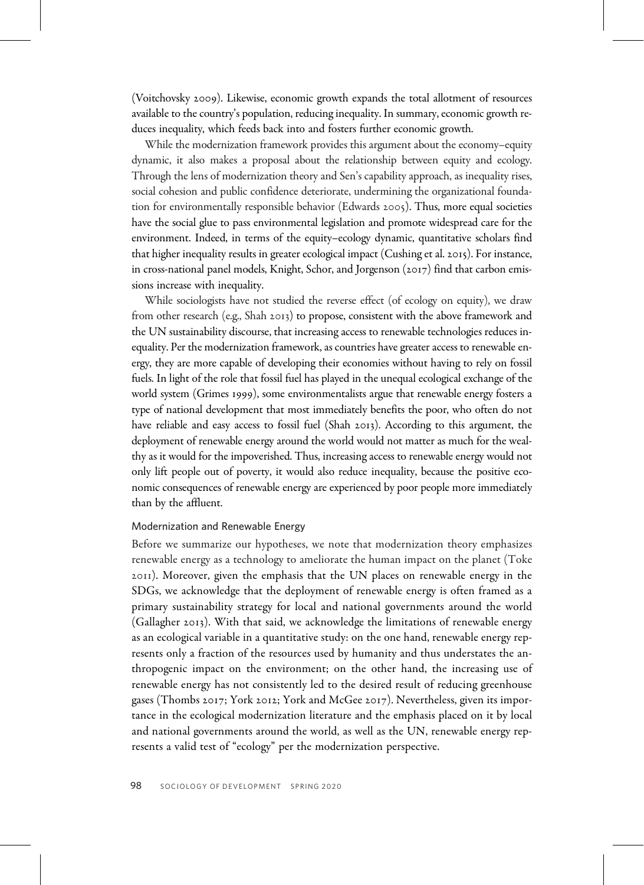(Voitchovsky 2009). Likewise, economic growth expands the total allotment of resources available to the country's population, reducing inequality. In summary, economic growth reduces inequality, which feeds back into and fosters further economic growth.

While the modernization framework provides this argument about the economy–equity dynamic, it also makes a proposal about the relationship between equity and ecology. Through the lens of modernization theory and Sen's capability approach, as inequality rises, social cohesion and public confidence deteriorate, undermining the organizational foundation for environmentally responsible behavior (Edwards  $2005$ ). Thus, more equal societies have the social glue to pass environmental legislation and promote widespread care for the environment. Indeed, in terms of the equity–ecology dynamic, quantitative scholars find that higher inequality results in greater ecological impact (Cushing et al. 2015). For instance, in cross-national panel models, Knight, Schor, and Jorgenson  $(2017)$  find that carbon emissions increase with inequality.

While sociologists have not studied the reverse effect (of ecology on equity), we draw from other research (e.g., Shah  $2013$ ) to propose, consistent with the above framework and the UN sustainability discourse, that increasing access to renewable technologies reduces inequality. Per the modernization framework, as countries have greater access to renewable energy, they are more capable of developing their economies without having to rely on fossil fuels. In light of the role that fossil fuel has played in the unequal ecological exchange of the world system (Grimes 1999), some environmentalists argue that renewable energy fosters a type of national development that most immediately benefits the poor, who often do not have reliable and easy access to fossil fuel (Shah 2013). According to this argument, the deployment of renewable energy around the world would not matter as much for the wealthy as it would for the impoverished. Thus, increasing access to renewable energy would not only lift people out of poverty, it would also reduce inequality, because the positive economic consequences of renewable energy are experienced by poor people more immediately than by the affluent.

## Modernization and Renewable Energy

Before we summarize our hypotheses, we note that modernization theory emphasizes renewable energy as a technology to ameliorate the human impact on the planet (Toke ). Moreover, given the emphasis that the UN places on renewable energy in the SDGs, we acknowledge that the deployment of renewable energy is often framed as a primary sustainability strategy for local and national governments around the world (Gallagher 2013). With that said, we acknowledge the limitations of renewable energy as an ecological variable in a quantitative study: on the one hand, renewable energy represents only a fraction of the resources used by humanity and thus understates the anthropogenic impact on the environment; on the other hand, the increasing use of renewable energy has not consistently led to the desired result of reducing greenhouse gases (Thombs 2017; York 2012; York and McGee 2017). Nevertheless, given its importance in the ecological modernization literature and the emphasis placed on it by local and national governments around the world, as well as the UN, renewable energy represents a valid test of "ecology" per the modernization perspective.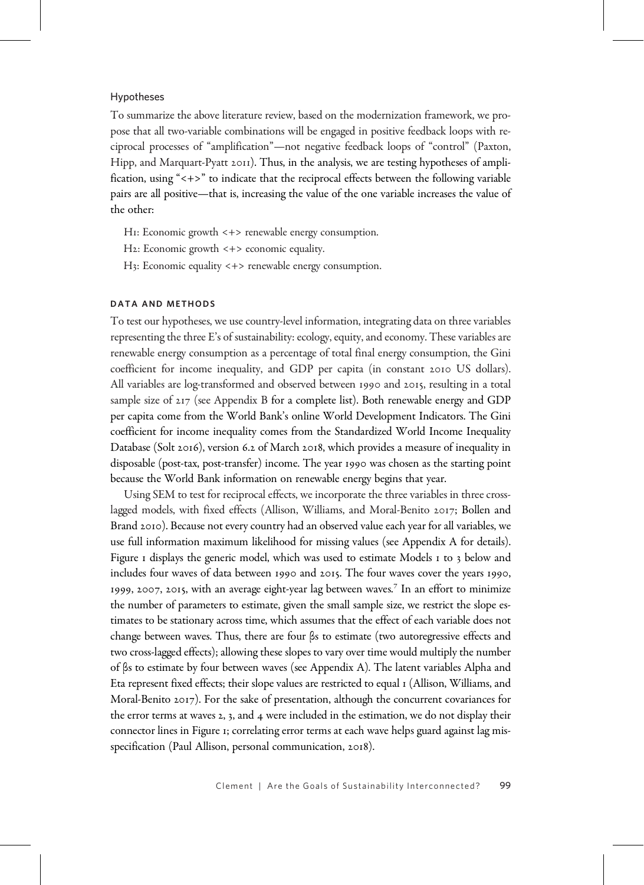## Hypotheses

To summarize the above literature review, based on the modernization framework, we propose that all two-variable combinations will be engaged in positive feedback loops with reciprocal processes of "amplification"—not negative feedback loops of "control" (Paxton, Hipp, and Marquart-Pyatt  $2011$ . Thus, in the analysis, we are testing hypotheses of amplification, using "<+>" to indicate that the reciprocal effects between the following variable pairs are all positive—that is, increasing the value of the one variable increases the value of the other:

- H: Economic growth <+> renewable energy consumption.
- H2: Economic growth <+> economic equality.
- H3: Economic equality <+> renewable energy consumption.

## DATA AND METHODS

To test our hypotheses, we use country-level information, integrating data on three variables representing the three E's of sustainability: ecology, equity, and economy. These variables are renewable energy consumption as a percentage of total final energy consumption, the Gini coefficient for income inequality, and GDP per capita (in constant 2010 US dollars). All variables are log-transformed and observed between 1990 and 2015, resulting in a total sample size of  $217$  (see Appendix B for a complete list). Both renewable energy and GDP per capita come from the World Bank's online World Development Indicators. The Gini coefficient for income inequality comes from the Standardized World Income Inequality Database (Solt 2016), version 6.2 of March 2018, which provides a measure of inequality in disposable (post-tax, post-transfer) income. The year 1990 was chosen as the starting point because the World Bank information on renewable energy begins that year.

Using SEM to test for reciprocal effects, we incorporate the three variables in three crosslagged models, with fixed effects (Allison, Williams, and Moral-Benito 2017; Bollen and Brand 2010). Because not every country had an observed value each year for all variables, we use full information maximum likelihood for missing values (see Appendix A for details). Figure I displays the generic model, which was used to estimate Models I to  $\frac{1}{3}$  below and includes four waves of data between 1990 and 2015. The four waves cover the years 1990, 1999, 2007, 2015, with an average eight-year lag between waves.<sup>7</sup> In an effort to minimize the number of parameters to estimate, given the small sample size, we restrict the slope estimates to be stationary across time, which assumes that the effect of each variable does not change between waves. Thus, there are four βs to estimate (two autoregressive effects and two cross-lagged effects); allowing these slopes to vary over time would multiply the number of βs to estimate by four between waves (see Appendix A). The latent variables Alpha and Eta represent fixed effects; their slope values are restricted to equal (Allison, Williams, and Moral-Benito 2017). For the sake of presentation, although the concurrent covariances for the error terms at waves  $2$ , 3, and 4 were included in the estimation, we do not display their connector lines in Figure ; correlating error terms at each wave helps guard against lag misspecification (Paul Allison, personal communication, 2018).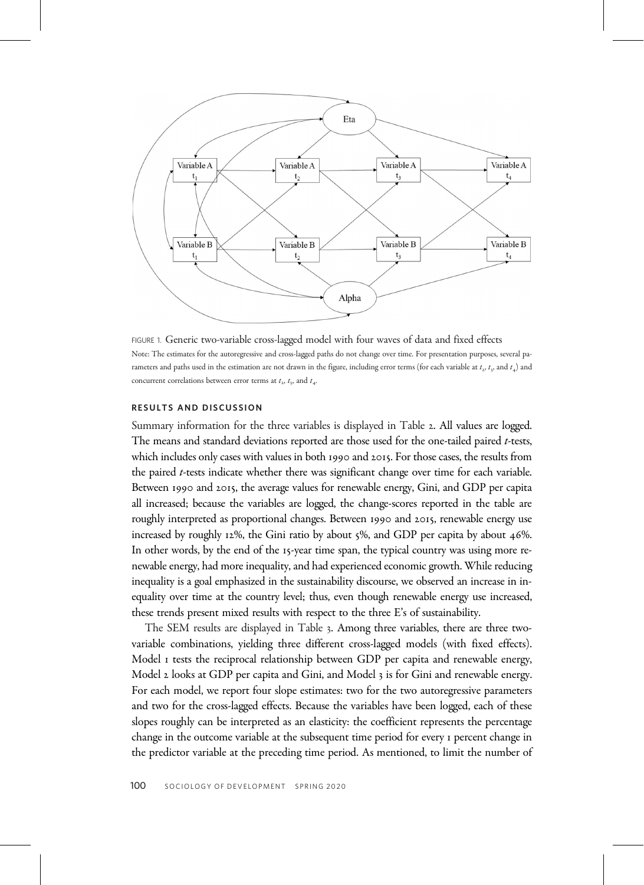

FIGURE 1. Generic two-variable cross-lagged model with four waves of data and fixed effects Note: The estimates for the autoregressive and cross-lagged paths do not change over time. For presentation purposes, several parameters and paths used in the estimation are not drawn in the figure, including error terms (for each variable at  $t_2$ ,  $t_3$ , and  $t_4$ ) and concurrent correlations between error terms at  $t_1$ ,  $t_2$ , and  $t_3$ .

## RESULTS AND DISCUSSION

Summary information for the three variables is displayed in Table 2. All values are logged. The means and standard deviations reported are those used for the one-tailed paired  $t$ -tests, which includes only cases with values in both 1990 and 2015. For those cases, the results from the paired *t*-tests indicate whether there was significant change over time for each variable. Between 1990 and 2015, the average values for renewable energy, Gini, and GDP per capita all increased; because the variables are logged, the change-scores reported in the table are roughly interpreted as proportional changes. Between 1990 and 2015, renewable energy use increased by roughly  $12\%$ , the Gini ratio by about  $5\%$ , and GDP per capita by about  $46\%$ . In other words, by the end of the 15-year time span, the typical country was using more renewable energy, had more inequality, and had experienced economic growth. While reducing inequality is a goal emphasized in the sustainability discourse, we observed an increase in inequality over time at the country level; thus, even though renewable energy use increased, these trends present mixed results with respect to the three E's of sustainability.

The SEM results are displayed in Table 3. Among three variables, there are three twovariable combinations, yielding three different cross-lagged models (with fixed effects). Model *I* tests the reciprocal relationship between GDP per capita and renewable energy, Model 2 looks at GDP per capita and Gini, and Model 3 is for Gini and renewable energy. For each model, we report four slope estimates: two for the two autoregressive parameters and two for the cross-lagged effects. Because the variables have been logged, each of these slopes roughly can be interpreted as an elasticity: the coefficient represents the percentage change in the outcome variable at the subsequent time period for every *I* percent change in the predictor variable at the preceding time period. As mentioned, to limit the number of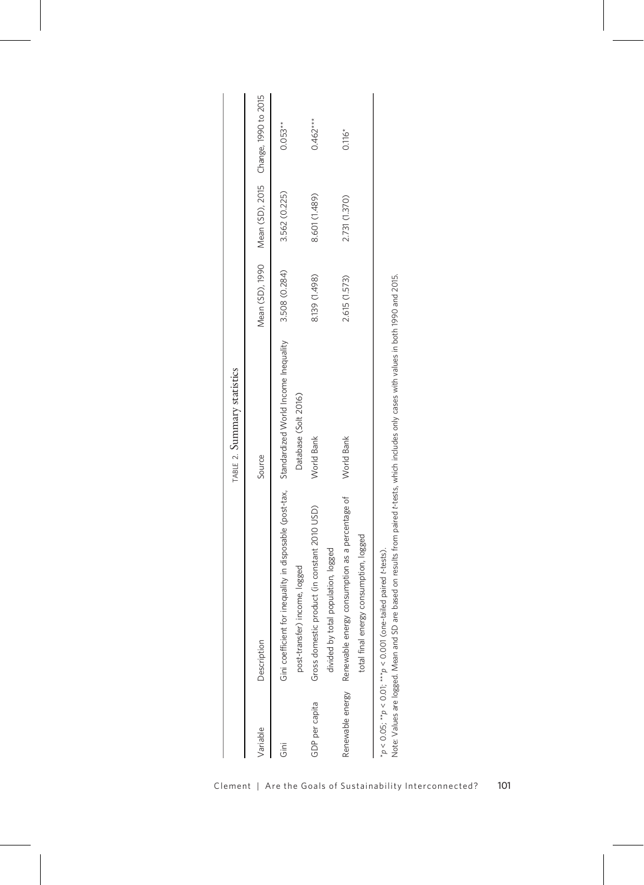|                |                                                                                               | TABLE 2. Summary statistics |               |               |                                                      |
|----------------|-----------------------------------------------------------------------------------------------|-----------------------------|---------------|---------------|------------------------------------------------------|
| Variable       | Description                                                                                   | Source                      |               |               | Mean (SD), 1990 Mean (SD), 2015 Change, 1990 to 2015 |
| iai<br>Ū       | Gini coefficient for inequality in disposable (post-tax, Standardized World Income Inequality |                             | 3.508 (0.284) | 3.562 (0.225) | $0.053**$                                            |
|                | logged<br>post-transfer) income,                                                              | Database (Solt 2016)        |               |               |                                                      |
| GDP per capita | (in constant 2010 USD)<br>Gross domestic product (                                            | World Bank                  | 8.139 (1.498) | 8.601 (1.489) | $0.462***$                                           |
|                | divided by total population, logged                                                           |                             |               |               |                                                      |
|                | Renewable energy Renewable energy consumption as a percentage of                              | World Bank                  | 2.615 (1.573) | 2.731 (1.370) | $0.116*$                                             |
|                | total final energy consumption, logged                                                        |                             |               |               |                                                      |
|                | $*_p$ < 0.05; $*_p$ < 0.01; $^{***}$ $p$ < 0.001 (one-tailed paired t-tests).                 |                             |               |               |                                                      |

| ì                       |  |
|-------------------------|--|
|                         |  |
|                         |  |
|                         |  |
|                         |  |
|                         |  |
|                         |  |
| <b>Designation</b><br>l |  |
|                         |  |
|                         |  |
|                         |  |
|                         |  |
| )<br>)<br>)<br>)        |  |
|                         |  |
|                         |  |
|                         |  |
|                         |  |
|                         |  |
|                         |  |
|                         |  |
| $\geq$                  |  |
|                         |  |
|                         |  |
|                         |  |
|                         |  |
| 0 05. ** 0 1<br>ר<br>כל |  |
|                         |  |
|                         |  |
|                         |  |

Note: Values are logged. Mean and SD are based on results from paired t-tests, which includes only cases with values in both 1990 and 2015. Note: Values are logged. Mean and SD are based on results from paired t-tests, which includes only cases with values in both 1990 and 2015.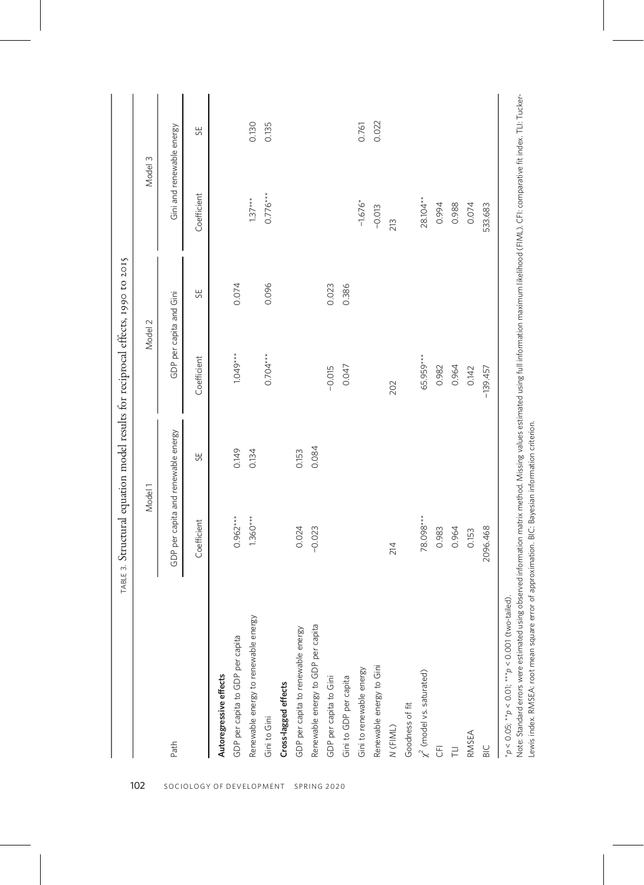|                                                            | TABLE 3. Structural equation model results for reciprocal effects, 1990 to 2015 |       |                         |       |                           |       |
|------------------------------------------------------------|---------------------------------------------------------------------------------|-------|-------------------------|-------|---------------------------|-------|
|                                                            | Model 1                                                                         |       | Model 2                 |       | Model 3                   |       |
| Path                                                       | GDP per capita and renewable energy                                             |       | GDP per capita and Gini |       | Gini and renewable energy |       |
|                                                            | Coefficient                                                                     | 55    | Coefficient             | 55    | Coefficient               | 55    |
| Autoregressive effects                                     |                                                                                 |       |                         |       |                           |       |
| GDP per capita to GDP per capita                           | $0.962***$                                                                      | 0.149 | $1.049***$              | 0.074 |                           |       |
| Renewable energy to renewable energy                       | $1.360***$                                                                      | 0.134 |                         |       | $1.37***$                 | 0.130 |
| Gini to Gini                                               |                                                                                 |       | $0.704***$              | 0.096 | $0.776***$                | 0.135 |
| Cross-lagged effects                                       |                                                                                 |       |                         |       |                           |       |
| GDP per capita to renewable energy                         | 0.024                                                                           | 0.153 |                         |       |                           |       |
| Renewable energy to GDP per capita                         | $-0.023$                                                                        | 0.084 |                         |       |                           |       |
| GDP per capita to Gini                                     |                                                                                 |       | $-0.015$                | 0.023 |                           |       |
| Gini to GDP per capita                                     |                                                                                 |       | 0.047                   | 0.386 |                           |       |
| Gini to renewable energy                                   |                                                                                 |       |                         |       | $-1.676*$                 | 0.761 |
| Renewable energy to Gini                                   |                                                                                 |       |                         |       | $-0.013$                  | 0.022 |
| N (FIML)                                                   | 214                                                                             |       | 202                     |       | 213                       |       |
| Goodness of fit                                            |                                                                                 |       |                         |       |                           |       |
| $\chi^2$ (model vs. saturated)                             | 78.098***                                                                       |       | 65.959***               |       | $28.104***$               |       |
| $\overline{5}$                                             | 0.983                                                                           |       | 0.982                   |       | 0.994                     |       |
| F                                                          | 0.964                                                                           |       | 0.964                   |       | 0.988                     |       |
| RMSEA                                                      | 0.153                                                                           |       | 0.142                   |       | 0.074                     |       |
| BIC                                                        | 2096.468                                                                        |       | $-139.457$              |       | 533.683                   |       |
| $*_p$ < 0.05; $*_p$ < 0.01; $_{**p}$ < 0.001 (two-tailed). |                                                                                 |       |                         |       |                           |       |

Note: Standard errors were estimated using observed information matrix method. Missing values estimated using full information maximum likelihood (FIML). CFI: comparative fit index. TLI: Tucker-<br>Lewis index. RMSEA: root me Note: Standard errors were estimated using observed information matrix method. Missing values estimated using full information maximum likelihood (FIML). CFI: comparative fit index. TLI: Tucker-Lewis index. RMSEA: root mean square error of approximation. BIC: Bayesian information criterion.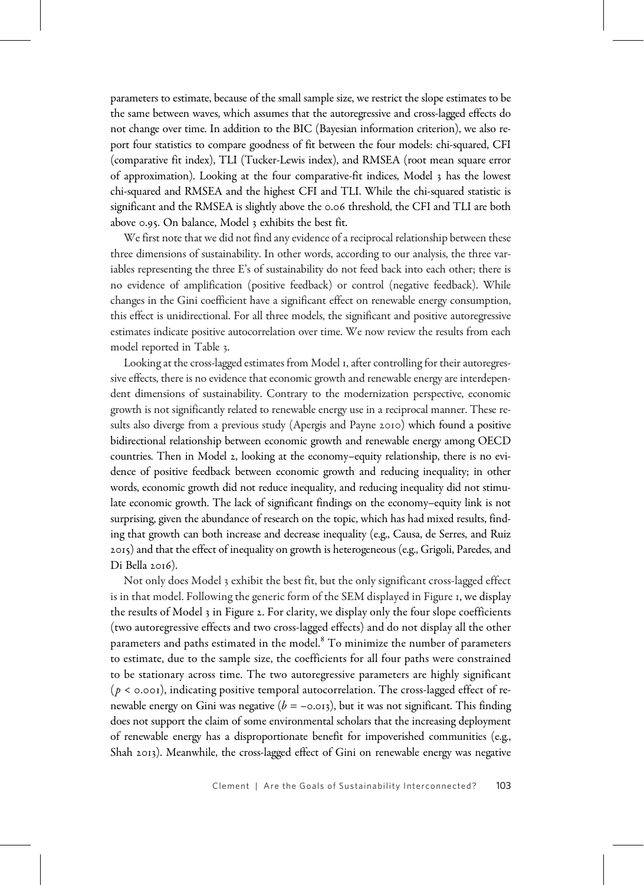parameters to estimate, because of the small sample size, we restrict the slope estimates to be the same between waves, which assumes that the autoregressive and cross-lagged effects do not change over time. In addition to the BIC (Bayesian information criterion), we also report four statistics to compare goodness of fit between the four models: chi-squared, CFI (comparative fit index), TLI (Tucker-Lewis index), and RMSEA (root mean square error of approximation). Looking at the four comparative-fit indices, Model  $\alpha$  has the lowest chi-squared and RMSEA and the highest CFI and TLI. While the chi-squared statistic is significant and the RMSEA is slightly above the 0.06 threshold, the CFI and TLI are both above 0.95. On balance, Model 3 exhibits the best fit.

We first note that we did not find any evidence of a reciprocal relationship between these three dimensions of sustainability. In other words, according to our analysis, the three variables representing the three E's of sustainability do not feed back into each other; there is no evidence of amplification (positive feedback) or control (negative feedback). While changes in the Gini coefficient have a significant effect on renewable energy consumption, this effect is unidirectional. For all three models, the significant and positive autoregressive estimates indicate positive autocorrelation over time. We now review the results from each model reported in Table 3.

Looking at the cross-lagged estimates from Model 1, after controlling for their autoregressive effects, there is no evidence that economic growth and renewable energy are interdependent dimensions of sustainability. Contrary to the modernization perspective, economic growth is not significantly related to renewable energy use in a reciprocal manner. These results also diverge from a previous study (Apergis and Payne 2010) which found a positive bidirectional relationship between economic growth and renewable energy among OECD countries. Then in Model 2, looking at the economy–equity relationship, there is no evidence of positive feedback between economic growth and reducing inequality; in other words, economic growth did not reduce inequality, and reducing inequality did not stimulate economic growth. The lack of significant findings on the economy–equity link is not surprising, given the abundance of research on the topic, which has had mixed results, finding that growth can both increase and decrease inequality (e.g., Causa, de Serres, and Ruiz ) and that the effect of inequality on growth is heterogeneous (e.g., Grigoli, Paredes, and Di Bella  $2016$ ).

Not only does Model 3 exhibit the best fit, but the only significant cross-lagged effect is in that model. Following the generic form of the SEM displayed in Figure , we display the results of Model 3 in Figure 2. For clarity, we display only the four slope coefficients (two autoregressive effects and two cross-lagged effects) and do not display all the other parameters and paths estimated in the model.<sup>8</sup> To minimize the number of parameters to estimate, due to the sample size, the coefficients for all four paths were constrained to be stationary across time. The two autoregressive parameters are highly significant  $(p < \text{o.001})$ , indicating positive temporal autocorrelation. The cross-lagged effect of renewable energy on Gini was negative ( $b = -0.013$ ), but it was not significant. This finding does not support the claim of some environmental scholars that the increasing deployment of renewable energy has a disproportionate benefit for impoverished communities (e.g., Shah 2013). Meanwhile, the cross-lagged effect of Gini on renewable energy was negative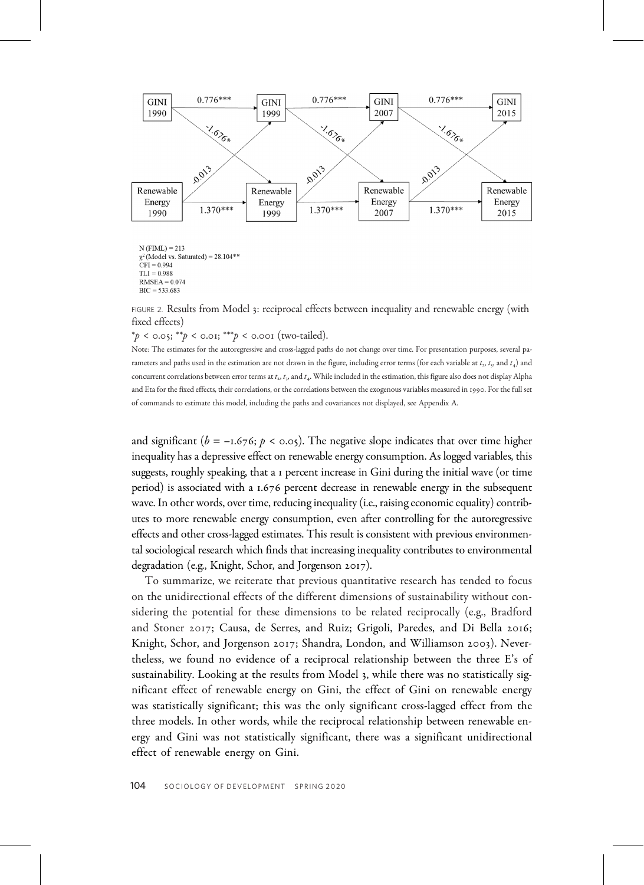

 $N$  (FIML) = 213  $\chi^2$  (Model vs. Saturated) = 28.104\*\*  $\widehat{CFI} = 0.994$  $TLI = 0.988$  $RMSEA = 0.074$  $\text{BIC} = 533,683$ 

FIGURE 2. Results from Model 3: reciprocal effects between inequality and renewable energy (with fixed effects)

 $*_p$  < 0.05;  $^{**}p$  < 0.01;  $^{***}p$  < 0.001 (two-tailed).

Note: The estimates for the autoregressive and cross-lagged paths do not change over time. For presentation purposes, several parameters and paths used in the estimation are not drawn in the figure, including error terms (for each variable at  $t_1$ ,  $t_2$ , and  $t_4$ ) and concurrent correlations between error terms at  $t_2$ ,  $t_3$ , and  $t_4$ . While included in the estimation, this figure also does not display Alpha and Eta for the fixed effects, their correlations, or the correlations between the exogenous variables measured in 1990. For the full set of commands to estimate this model, including the paths and covariances not displayed, see Appendix A.

and significant ( $b = -1.676$ ;  $p < \infty.05$ ). The negative slope indicates that over time higher inequality has a depressive effect on renewable energy consumption. As logged variables, this suggests, roughly speaking, that a percent increase in Gini during the initial wave (or time period) is associated with a 1.676 percent decrease in renewable energy in the subsequent wave. In other words, over time, reducing inequality (i.e., raising economic equality) contributes to more renewable energy consumption, even after controlling for the autoregressive effects and other cross-lagged estimates. This result is consistent with previous environmental sociological research which finds that increasing inequality contributes to environmental degradation (e.g., Knight, Schor, and Jorgenson  $2017$ ).

To summarize, we reiterate that previous quantitative research has tended to focus on the unidirectional effects of the different dimensions of sustainability without considering the potential for these dimensions to be related reciprocally (e.g., Bradford and Stoner 2017; Causa, de Serres, and Ruiz; Grigoli, Paredes, and Di Bella 2016; Knight, Schor, and Jorgenson 2017; Shandra, London, and Williamson 2003). Nevertheless, we found no evidence of a reciprocal relationship between the three E's of sustainability. Looking at the results from Model 3, while there was no statistically significant effect of renewable energy on Gini, the effect of Gini on renewable energy was statistically significant; this was the only significant cross-lagged effect from the three models. In other words, while the reciprocal relationship between renewable energy and Gini was not statistically significant, there was a significant unidirectional effect of renewable energy on Gini.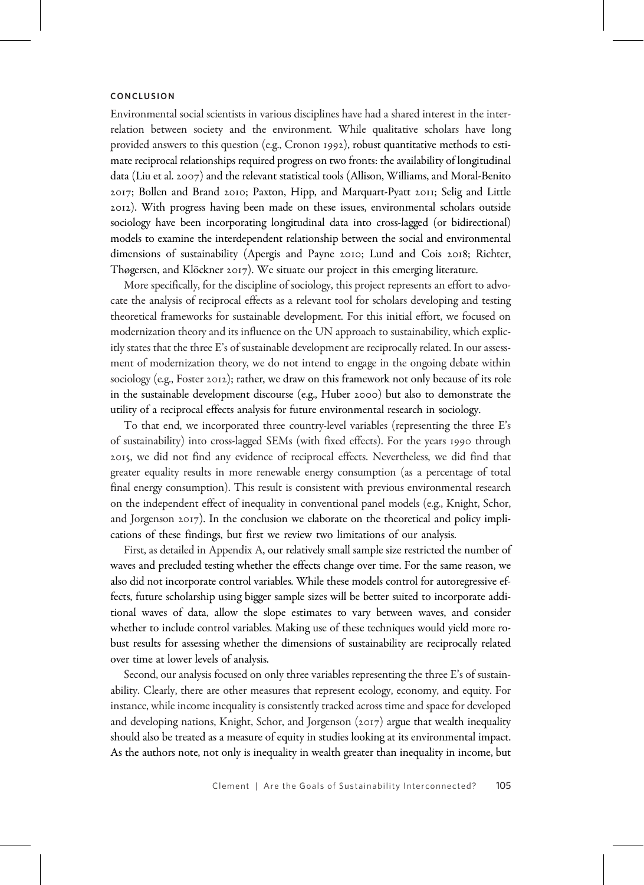#### **CONCLUSION**

Environmental social scientists in various disciplines have had a shared interest in the interrelation between society and the environment. While qualitative scholars have long provided answers to this question (e.g., Cronon 1992), robust quantitative methods to estimate reciprocal relationships required progress on two fronts: the availability of longitudinal data (Liu et al. 2007) and the relevant statistical tools (Allison, Williams, and Moral-Benito 2017; Bollen and Brand 2010; Paxton, Hipp, and Marquart-Pyatt 2011; Selig and Little ). With progress having been made on these issues, environmental scholars outside sociology have been incorporating longitudinal data into cross-lagged (or bidirectional) models to examine the interdependent relationship between the social and environmental dimensions of sustainability (Apergis and Payne 2010; Lund and Cois 2018; Richter, Thøgersen, and Klöckner 2017). We situate our project in this emerging literature.

More specifically, for the discipline of sociology, this project represents an effort to advocate the analysis of reciprocal effects as a relevant tool for scholars developing and testing theoretical frameworks for sustainable development. For this initial effort, we focused on modernization theory and its influence on the UN approach to sustainability, which explicitly states that the three E's of sustainable development are reciprocally related. In our assessment of modernization theory, we do not intend to engage in the ongoing debate within sociology (e.g., Foster 2012); rather, we draw on this framework not only because of its role in the sustainable development discourse (e.g., Huber 2000) but also to demonstrate the utility of a reciprocal effects analysis for future environmental research in sociology.

To that end, we incorporated three country-level variables (representing the three E's of sustainability) into cross-lagged SEMs (with fixed effects). For the years 1990 through , we did not find any evidence of reciprocal effects. Nevertheless, we did find that greater equality results in more renewable energy consumption (as a percentage of total final energy consumption). This result is consistent with previous environmental research on the independent effect of inequality in conventional panel models (e.g., Knight, Schor, and Jorgenson  $2017$ ). In the conclusion we elaborate on the theoretical and policy implications of these findings, but first we review two limitations of our analysis.

First, as detailed in Appendix A, our relatively small sample size restricted the number of waves and precluded testing whether the effects change over time. For the same reason, we also did not incorporate control variables. While these models control for autoregressive effects, future scholarship using bigger sample sizes will be better suited to incorporate additional waves of data, allow the slope estimates to vary between waves, and consider whether to include control variables. Making use of these techniques would yield more robust results for assessing whether the dimensions of sustainability are reciprocally related over time at lower levels of analysis.

Second, our analysis focused on only three variables representing the three E's of sustainability. Clearly, there are other measures that represent ecology, economy, and equity. For instance, while income inequality is consistently tracked across time and space for developed and developing nations, Knight, Schor, and Jorgenson  $(2017)$  argue that wealth inequality should also be treated as a measure of equity in studies looking at its environmental impact. As the authors note, not only is inequality in wealth greater than inequality in income, but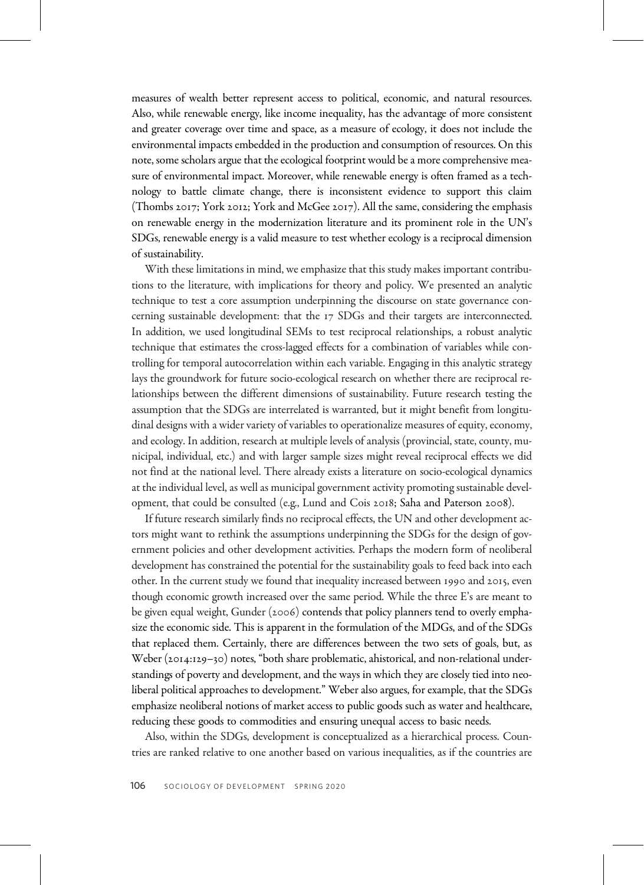measures of wealth better represent access to political, economic, and natural resources. Also, while renewable energy, like income inequality, has the advantage of more consistent and greater coverage over time and space, as a measure of ecology, it does not include the environmental impacts embedded in the production and consumption of resources. On this note, some scholars argue that the ecological footprint would be a more comprehensive measure of environmental impact. Moreover, while renewable energy is often framed as a technology to battle climate change, there is inconsistent evidence to support this claim (Thombs  $2017$ ; York  $2012$ ; York and McGee  $2017$ ). All the same, considering the emphasis on renewable energy in the modernization literature and its prominent role in the UN's SDGs, renewable energy is a valid measure to test whether ecology is a reciprocal dimension of sustainability.

With these limitations in mind, we emphasize that this study makes important contributions to the literature, with implications for theory and policy. We presented an analytic technique to test a core assumption underpinning the discourse on state governance concerning sustainable development: that the 17 SDGs and their targets are interconnected. In addition, we used longitudinal SEMs to test reciprocal relationships, a robust analytic technique that estimates the cross-lagged effects for a combination of variables while controlling for temporal autocorrelation within each variable. Engaging in this analytic strategy lays the groundwork for future socio-ecological research on whether there are reciprocal relationships between the different dimensions of sustainability. Future research testing the assumption that the SDGs are interrelated is warranted, but it might benefit from longitudinal designs with a wider variety of variables to operationalize measures of equity, economy, and ecology. In addition, research at multiple levels of analysis (provincial, state, county, municipal, individual, etc.) and with larger sample sizes might reveal reciprocal effects we did not find at the national level. There already exists a literature on socio-ecological dynamics at the individual level, as well as municipal government activity promoting sustainable development, that could be consulted (e.g., Lund and Cois 2018; Saha and Paterson 2008).

If future research similarly finds no reciprocal effects, the UN and other development actors might want to rethink the assumptions underpinning the SDGs for the design of government policies and other development activities. Perhaps the modern form of neoliberal development has constrained the potential for the sustainability goals to feed back into each other. In the current study we found that inequality increased between 1990 and 2015, even though economic growth increased over the same period. While the three E's are meant to be given equal weight, Gunder (2006) contends that policy planners tend to overly emphasize the economic side. This is apparent in the formulation of the MDGs, and of the SDGs that replaced them. Certainly, there are differences between the two sets of goals, but, as Weber ( $2014:129-30$ ) notes, "both share problematic, ahistorical, and non-relational understandings of poverty and development, and the ways in which they are closely tied into neoliberal political approaches to development." Weber also argues, for example, that the SDGs emphasize neoliberal notions of market access to public goods such as water and healthcare, reducing these goods to commodities and ensuring unequal access to basic needs.

Also, within the SDGs, development is conceptualized as a hierarchical process. Countries are ranked relative to one another based on various inequalities, as if the countries are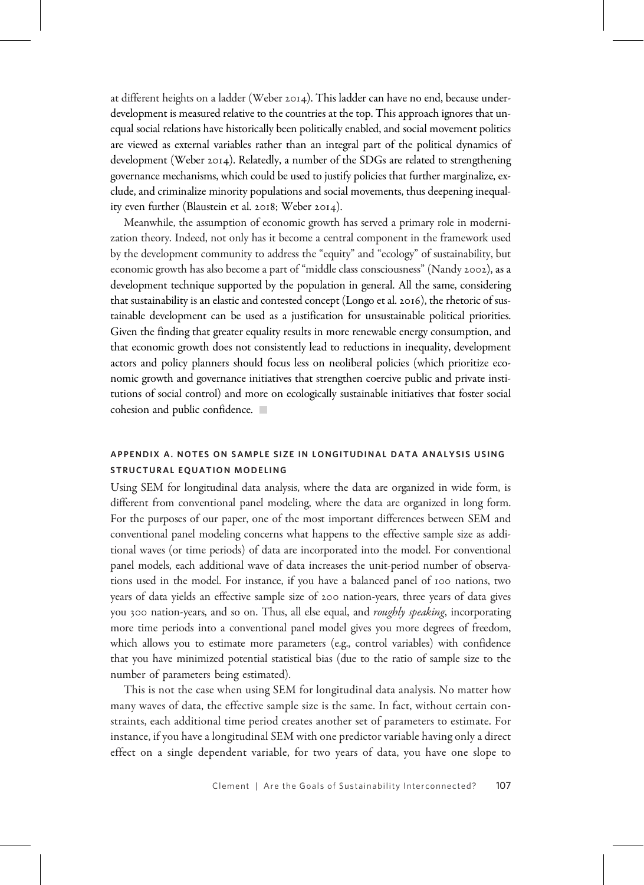at different heights on a ladder (Weber 2014). This ladder can have no end, because underdevelopment is measured relative to the countries at the top. This approach ignores that unequal social relations have historically been politically enabled, and social movement politics are viewed as external variables rather than an integral part of the political dynamics of development (Weber 2014). Relatedly, a number of the SDGs are related to strengthening governance mechanisms, which could be used to justify policies that further marginalize, exclude, and criminalize minority populations and social movements, thus deepening inequality even further (Blaustein et al.  $2018$ ; Weber  $2014$ ).

Meanwhile, the assumption of economic growth has served a primary role in modernization theory. Indeed, not only has it become a central component in the framework used by the development community to address the "equity" and "ecology" of sustainability, but economic growth has also become a part of "middle class consciousness" (Nandy 2002), as a development technique supported by the population in general. All the same, considering that sustainability is an elastic and contested concept (Longo et al. 2016), the rhetoric of sustainable development can be used as a justification for unsustainable political priorities. Given the finding that greater equality results in more renewable energy consumption, and that economic growth does not consistently lead to reductions in inequality, development actors and policy planners should focus less on neoliberal policies (which prioritize economic growth and governance initiatives that strengthen coercive public and private institutions of social control) and more on ecologically sustainable initiatives that foster social cohesion and public confidence.

## APPENDIX A. NOTES ON SAMPLE SIZE IN LONGITUDINAL DATA ANALYSIS USING STRUCTURAL EQUATION MODELING

Using SEM for longitudinal data analysis, where the data are organized in wide form, is different from conventional panel modeling, where the data are organized in long form. For the purposes of our paper, one of the most important differences between SEM and conventional panel modeling concerns what happens to the effective sample size as additional waves (or time periods) of data are incorporated into the model. For conventional panel models, each additional wave of data increases the unit-period number of observations used in the model. For instance, if you have a balanced panel of 100 nations, two years of data yields an effective sample size of 200 nation-years, three years of data gives you 300 nation-years, and so on. Thus, all else equal, and roughly speaking, incorporating more time periods into a conventional panel model gives you more degrees of freedom, which allows you to estimate more parameters (e.g., control variables) with confidence that you have minimized potential statistical bias (due to the ratio of sample size to the number of parameters being estimated).

This is not the case when using SEM for longitudinal data analysis. No matter how many waves of data, the effective sample size is the same. In fact, without certain constraints, each additional time period creates another set of parameters to estimate. For instance, if you have a longitudinal SEM with one predictor variable having only a direct effect on a single dependent variable, for two years of data, you have one slope to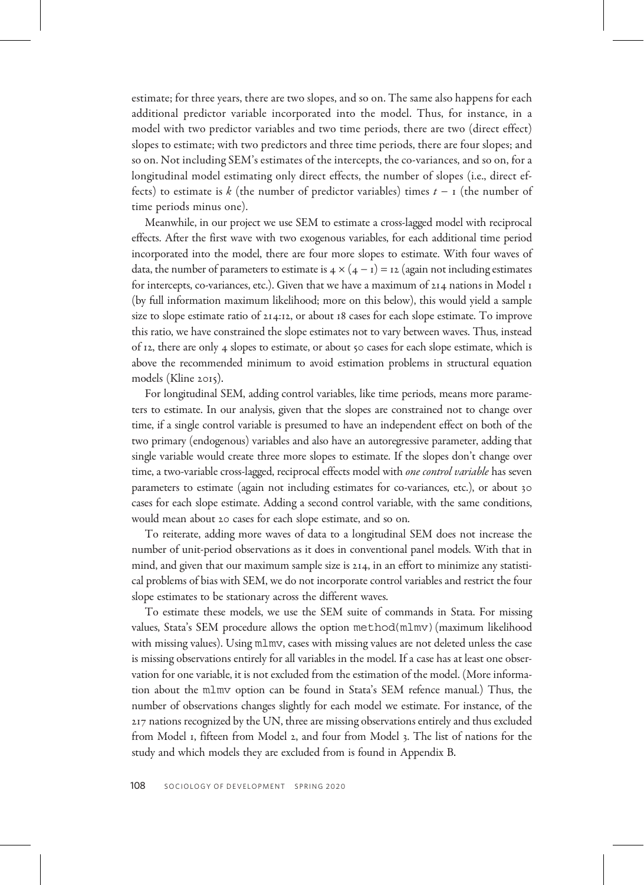estimate; for three years, there are two slopes, and so on. The same also happens for each additional predictor variable incorporated into the model. Thus, for instance, in a model with two predictor variables and two time periods, there are two (direct effect) slopes to estimate; with two predictors and three time periods, there are four slopes; and so on. Not including SEM's estimates of the intercepts, the co-variances, and so on, for a longitudinal model estimating only direct effects, the number of slopes (i.e., direct effects) to estimate is k (the number of predictor variables) times  $t - r$  (the number of time periods minus one).

Meanwhile, in our project we use SEM to estimate a cross-lagged model with reciprocal effects. After the first wave with two exogenous variables, for each additional time period incorporated into the model, there are four more slopes to estimate. With four waves of data, the number of parameters to estimate is  $4 \times (4 - i) = 12$  (again not including estimates for intercepts, co-variances, etc.). Given that we have a maximum of  $214$  nations in Model  $1$ (by full information maximum likelihood; more on this below), this would yield a sample size to slope estimate ratio of  $214.12$ , or about 18 cases for each slope estimate. To improve this ratio, we have constrained the slope estimates not to vary between waves. Thus, instead of 12, there are only 4 slopes to estimate, or about 50 cases for each slope estimate, which is above the recommended minimum to avoid estimation problems in structural equation models (Kline  $2015$ ).

For longitudinal SEM, adding control variables, like time periods, means more parameters to estimate. In our analysis, given that the slopes are constrained not to change over time, if a single control variable is presumed to have an independent effect on both of the two primary (endogenous) variables and also have an autoregressive parameter, adding that single variable would create three more slopes to estimate. If the slopes don't change over time, a two-variable cross-lagged, reciprocal effects model with *one control variable* has seven parameters to estimate (again not including estimates for co-variances, etc.), or about 30 cases for each slope estimate. Adding a second control variable, with the same conditions, would mean about 20 cases for each slope estimate, and so on.

To reiterate, adding more waves of data to a longitudinal SEM does not increase the number of unit-period observations as it does in conventional panel models. With that in mind, and given that our maximum sample size is  $214$ , in an effort to minimize any statistical problems of bias with SEM, we do not incorporate control variables and restrict the four slope estimates to be stationary across the different waves.

To estimate these models, we use the SEM suite of commands in Stata. For missing values, Stata's SEM procedure allows the option method(mlmv)(maximum likelihood with missing values). Using mlmv, cases with missing values are not deleted unless the case is missing observations entirely for all variables in the model. If a case has at least one observation for one variable, it is not excluded from the estimation of the model. (More information about the mlmv option can be found in Stata's SEM refence manual.) Thus, the number of observations changes slightly for each model we estimate. For instance, of the 217 nations recognized by the UN, three are missing observations entirely and thus excluded from Model 1, fifteen from Model 2, and four from Model 3. The list of nations for the study and which models they are excluded from is found in Appendix B.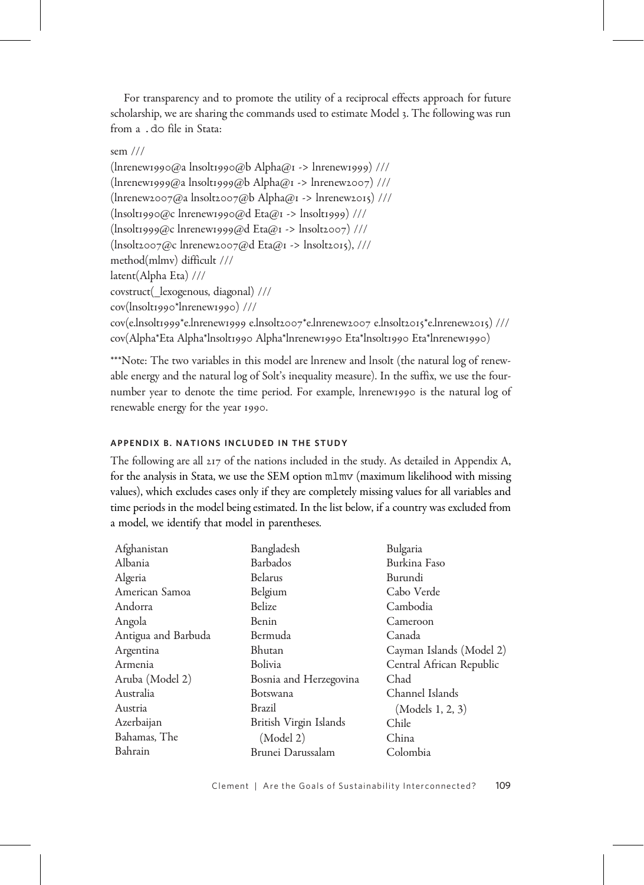For transparency and to promote the utility of a reciprocal effects approach for future scholarship, we are sharing the commands used to estimate Model 3. The following was run from a .do file in Stata:

## sem ///

 $($ lnrenew1990@a lnsolt1990@b Alpha@1 -> lnrenew1999) ///  $(\text{Inrenew1999@a} \text{ Insolt1999@b}$  Alpha@  $\rightarrow$  lnrenew2007) ///  $(\text{Inrenew2oo7@a Insoltzoo7@b Alpha@I -> Inrenew2o15})$  ///  $\frac{1}{2}$ (lnsolt1990@c lnrenew1990@d Eta@1 -> lnsolt1999) ///  $\frac{1}{2}$ (lnsolt1999@c lnrenew1999@d Eta@1 -> lnsolt2007) /// (lnsolt@c lnrenew@d Eta@ -> lnsolt), /// method(mlmv) difficult /// latent(Alpha Eta) /// covstruct(\_lexogenous, diagonal) /// cov(lnsolt1990\*lnrenew1990) /// cov(e.lnsolt1999\*e.lnrenew1999 e.lnsolt2007\*e.lnrenew2007 e.lnsolt2015\*e.lnrenew2015) /// cov(Alpha\*Eta Alpha\*lnsolt1990 Alpha\*lnrenew1990 Eta\*lnsolt1990 Eta\*lnrenew1990)

\*\*\*Note: The two variables in this model are lnrenew and lnsolt (the natural log of renewable energy and the natural log of Solt's inequality measure). In the suffix, we use the fournumber year to denote the time period. For example, lnrenew 1990 is the natural log of renewable energy for the year 1990.

## APPENDIX B. NATIONS INCLUDED IN THE STUDY

The following are all 217 of the nations included in the study. As detailed in Appendix A, for the analysis in Stata, we use the SEM option mlmv (maximum likelihood with missing values), which excludes cases only if they are completely missing values for all variables and time periods in the model being estimated. In the list below, if a country was excluded from a model, we identify that model in parentheses.

| Afghanistan         | Bangladesh             | Bulgaria                 |
|---------------------|------------------------|--------------------------|
| Albania             | <b>Barbados</b>        | Burkina Faso             |
| Algeria             | Belarus                | Burundi                  |
| American Samoa      | Belgium                | Cabo Verde               |
| Andorra             | Belize                 | Cambodia                 |
| Angola              | Benin                  | Cameroon                 |
| Antigua and Barbuda | Bermuda                | Canada                   |
| Argentina           | Bhutan                 | Cayman Islands (Model 2) |
| Armenia             | Bolivia                | Central African Republic |
| Aruba (Model 2)     | Bosnia and Herzegovina | Chad                     |
| Australia           | Botswana               | Channel Islands          |
| Austria             | Brazil                 | (Models 1, 2, 3)         |
| Azerbaijan          | British Virgin Islands | Chile                    |
| Bahamas, The        | (Model 2)              | China                    |
| Bahrain             | Brunei Darussalam      | Colombia                 |
|                     |                        |                          |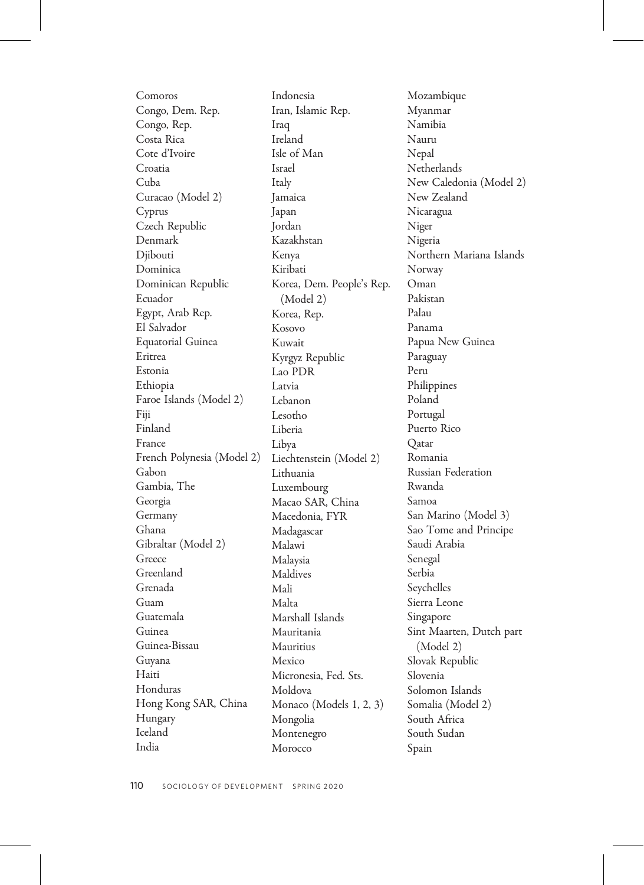Comoros Congo, Dem. Rep. Congo, Rep. Costa Rica Cote d'Ivoire Croatia Cuba Curacao (Model 2) Cyprus Czech Republic Denmark Djibouti Dominica Dominican Republic Ecuador Egypt, Arab Rep. El Salvador Equatorial Guinea Eritrea Estonia Ethiopia Faroe Islands (Model 2) Fiji Finland France French Polynesia (Model 2) Gabon Gambia, The Georgia Germany Ghana Gibraltar (Model 2) Greece Greenland Grenada Guam Guatemala Guinea Guinea-Bissau Guyana Haiti Honduras Hong Kong SAR, China Hungary Iceland India

Indonesia Iran, Islamic Rep. Iraq Ireland Isle of Man Israel Italy Jamaica Japan Jordan Kazakhstan Kenya Kiribati Korea, Dem. People's Rep. (Model 2) Korea, Rep. Kosovo Kuwait Kyrgyz Republic Lao PDR Latvia Lebanon Lesotho Liberia Libya Liechtenstein (Model 2) Lithuania Luxembourg Macao SAR, China Macedonia, FYR Madagascar Malawi Malaysia Maldives Mali Malta Marshall Islands Mauritania Mauritius Mexico Micronesia, Fed. Sts. Moldova Monaco (Models 1, 2, 3) Mongolia Montenegro Morocco

Mozambique Myanmar Namibia Nauru Nepal **Netherlands** New Caledonia (Model 2) New Zealand Nicaragua Niger Nigeria Northern Mariana Islands Norway Oman Pakistan Palau Panama Papua New Guinea Paraguay Peru Philippines Poland Portugal Puerto Rico Qatar Romania Russian Federation Rwanda Samoa San Marino (Model 3) Sao Tome and Principe Saudi Arabia Senegal Serbia Seychelles Sierra Leone Singapore Sint Maarten, Dutch part (Model 2) Slovak Republic Slovenia Solomon Islands Somalia (Model 2) South Africa South Sudan Spain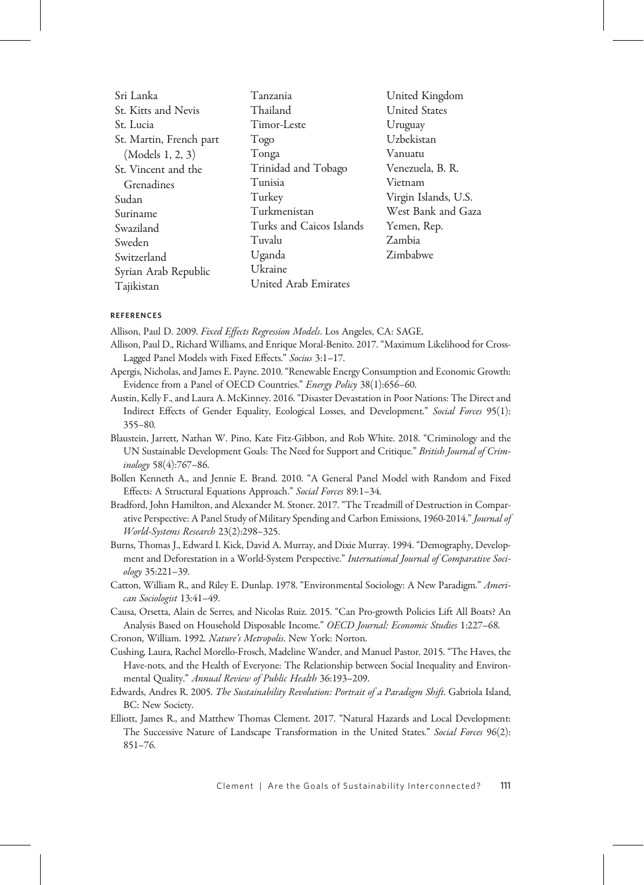| Sri Lanka               | Tanzania                    | United Kingdom       |
|-------------------------|-----------------------------|----------------------|
| St. Kitts and Nevis     | Thailand                    | <b>United States</b> |
| St. Lucia               | Timor-Leste                 | Uruguay              |
| St. Martin, French part | Togo                        | Uzbekistan           |
| (Models 1, 2, 3)        | Tonga                       | Vanuatu              |
| St. Vincent and the     | Trinidad and Tobago         | Venezuela, B. R.     |
| Grenadines              | Tunisia                     | Vietnam              |
| Sudan                   | Turkey                      | Virgin Islands, U.S. |
| Suriname                | Turkmenistan                | West Bank and Gaza   |
| Swaziland               | Turks and Caicos Islands    | Yemen, Rep.          |
| Sweden                  | Tuvalu                      | Zambia               |
| Switzerland             | Uganda                      | Zimbabwe             |
| Syrian Arab Republic    | Ukraine                     |                      |
| Tajikistan              | <b>United Arab Emirates</b> |                      |
|                         |                             |                      |

#### REFERENCES

Allison, Paul D. 2009. Fixed Effects Regression Models. Los Angeles, CA: SAGE.

- Allison, Paul D., Richard Williams, and Enrique Moral-Benito. 2017. "Maximum Likelihood for Cross-Lagged Panel Models with Fixed Effects." Socius 3:1–17.
- Apergis, Nicholas, and James E. Payne. 2010. "Renewable Energy Consumption and Economic Growth: Evidence from a Panel of OECD Countries." Energy Policy 38(1):656–60.
- Austin, Kelly F., and Laura A. McKinney. 2016. "Disaster Devastation in Poor Nations: The Direct and Indirect Effects of Gender Equality, Ecological Losses, and Development." Social Forces 95(1): 355–80.
- Blaustein, Jarrett, Nathan W. Pino, Kate Fitz-Gibbon, and Rob White. 2018. "Criminology and the UN Sustainable Development Goals: The Need for Support and Critique." British Journal of Criminology 58(4):767–86.
- Bollen Kenneth A., and Jennie E. Brand. 2010. "A General Panel Model with Random and Fixed Effects: A Structural Equations Approach." Social Forces 89:1–34.
- Bradford, John Hamilton, and Alexander M. Stoner. 2017. "The Treadmill of Destruction in Comparative Perspective: A Panel Study of Military Spending and Carbon Emissions, 1960-2014." Journal of World-Systems Research 23(2):298–325.
- Burns, Thomas J., Edward I. Kick, David A. Murray, and Dixie Murray. 1994. "Demography, Development and Deforestation in a World-System Perspective." International Journal of Comparative Sociology 35:221–39.
- Catton, William R., and Riley E. Dunlap. 1978. "Environmental Sociology: A New Paradigm." American Sociologist 13:41–49.

Causa, Orsetta, Alain de Serres, and Nicolas Ruiz. 2015. "Can Pro-growth Policies Lift All Boats? An Analysis Based on Household Disposable Income." OECD Journal: Economic Studies 1:227-68.

Cronon, William. 1992. Nature's Metropolis. New York: Norton.

Cushing, Laura, Rachel Morello-Frosch, Madeline Wander, and Manuel Pastor. 2015. "The Haves, the Have-nots, and the Health of Everyone: The Relationship between Social Inequality and Environmental Quality." Annual Review of Public Health 36:193–209.

- Edwards, Andres R. 2005. The Sustainability Revolution: Portrait of a Paradigm Shift. Gabriola Island, BC: New Society.
- Elliott, James R., and Matthew Thomas Clement. 2017. "Natural Hazards and Local Development: The Successive Nature of Landscape Transformation in the United States." Social Forces 96(2): 851–76.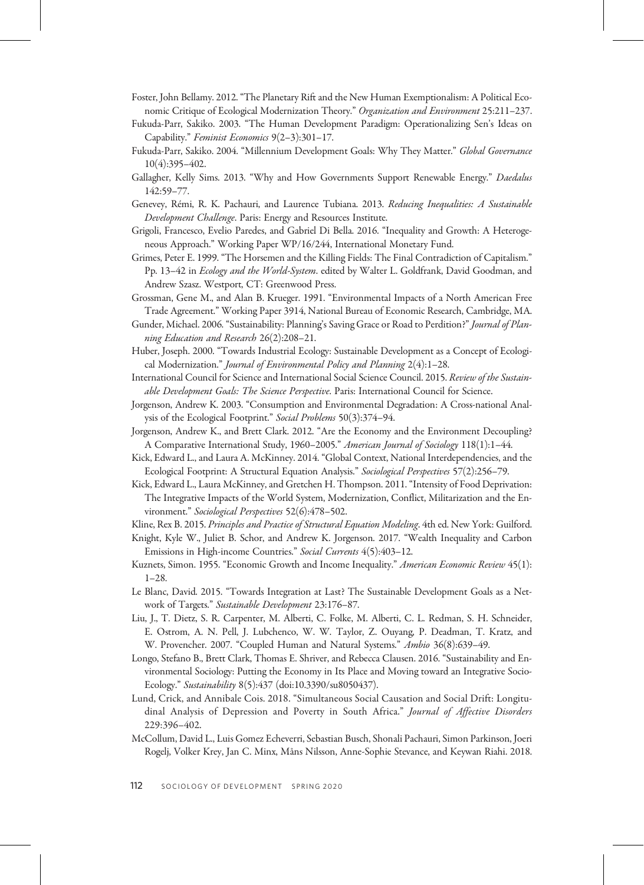- Foster, John Bellamy. 2012. "The Planetary Rift and the New Human Exemptionalism: A Political Economic Critique of Ecological Modernization Theory." Organization and Environment 25:211-237.
- Fukuda-Parr, Sakiko. 2003. "The Human Development Paradigm: Operationalizing Sen's Ideas on Capability." Feminist Economics 9(2–3):301–17.
- Fukuda-Parr, Sakiko. 2004. "Millennium Development Goals: Why They Matter." Global Governance 10(4):395–402.
- Gallagher, Kelly Sims. 2013. "Why and How Governments Support Renewable Energy." Daedalus 142:59–77.
- Genevey, Rémi, R. K. Pachauri, and Laurence Tubiana. 2013. Reducing Inequalities: A Sustainable Development Challenge. Paris: Energy and Resources Institute.
- Grigoli, Francesco, Evelio Paredes, and Gabriel Di Bella. 2016. "Inequality and Growth: A Heterogeneous Approach." Working Paper WP/16/244, International Monetary Fund.
- Grimes, Peter E. 1999. "The Horsemen and the Killing Fields: The Final Contradiction of Capitalism." Pp. 13-42 in Ecology and the World-System. edited by Walter L. Goldfrank, David Goodman, and Andrew Szasz. Westport, CT: Greenwood Press.
- Grossman, Gene M., and Alan B. Krueger. 1991. "Environmental Impacts of a North American Free Trade Agreement." Working Paper 3914, National Bureau of Economic Research, Cambridge, MA.
- Gunder, Michael. 2006. "Sustainability: Planning's Saving Grace or Road to Perdition?" Journal of Planning Education and Research 26(2):208–21.
- Huber, Joseph. 2000. "Towards Industrial Ecology: Sustainable Development as a Concept of Ecological Modernization." Journal of Environmental Policy and Planning 2(4):1-28.
- International Council for Science and International Social Science Council. 2015. Review of the Sustainable Development Goals: The Science Perspective. Paris: International Council for Science.
- Jorgenson, Andrew K. 2003. "Consumption and Environmental Degradation: A Cross-national Analysis of the Ecological Footprint." Social Problems 50(3):374–94.
- Jorgenson, Andrew K., and Brett Clark. 2012. "Are the Economy and the Environment Decoupling? A Comparative International Study, 1960–2005." American Journal of Sociology 118(1):1-44.
- Kick, Edward L., and Laura A. McKinney. 2014. "Global Context, National Interdependencies, and the Ecological Footprint: A Structural Equation Analysis." Sociological Perspectives 57(2):256–79.
- Kick, Edward L., Laura McKinney, and Gretchen H. Thompson. 2011. "Intensity of Food Deprivation: The Integrative Impacts of the World System, Modernization, Conflict, Militarization and the Environment." Sociological Perspectives 52(6):478–502.
- Kline, Rex B. 2015. Principles and Practice of Structural Equation Modeling. 4th ed. New York: Guilford.
- Knight, Kyle W., Juliet B. Schor, and Andrew K. Jorgenson. 2017. "Wealth Inequality and Carbon Emissions in High-income Countries." Social Currents 4(5):403–12.
- Kuznets, Simon. 1955. "Economic Growth and Income Inequality." American Economic Review 45(1): 1–28.
- Le Blanc, David. 2015. "Towards Integration at Last? The Sustainable Development Goals as a Network of Targets." Sustainable Development 23:176–87.
- Liu, J., T. Dietz, S. R. Carpenter, M. Alberti, C. Folke, M. Alberti, C. L. Redman, S. H. Schneider, E. Ostrom, A. N. Pell, J. Lubchenco, W. W. Taylor, Z. Ouyang, P. Deadman, T. Kratz, and W. Provencher. 2007. "Coupled Human and Natural Systems." Ambio 36(8):639–49.
- Longo, Stefano B., Brett Clark, Thomas E. Shriver, and Rebecca Clausen. 2016. "Sustainability and Environmental Sociology: Putting the Economy in Its Place and Moving toward an Integrative Socio-Ecology." Sustainability 8(5):437 (doi:10.3390/su8050437).
- Lund, Crick, and Annibale Cois. 2018. "Simultaneous Social Causation and Social Drift: Longitudinal Analysis of Depression and Poverty in South Africa." Journal of Affective Disorders 229:396–402.
- McCollum, David L., Luis Gomez Echeverri, Sebastian Busch, Shonali Pachauri, Simon Parkinson, Joeri Rogelj, Volker Krey, Jan C. Minx, Måns Nilsson, Anne-Sophie Stevance, and Keywan Riahi. 2018.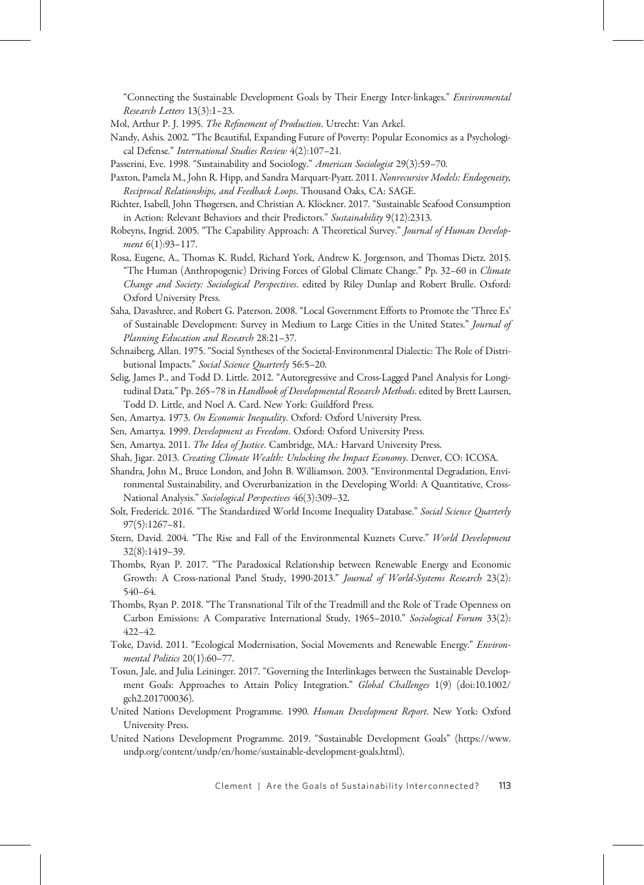"Connecting the Sustainable Development Goals by Their Energy Inter-linkages." Environmental Research Letters 13(3):1–23.

Mol, Arthur P. J. 1995. The Refinement of Production. Utrecht: Van Arkel.

- Nandy, Ashis. 2002. "The Beautiful, Expanding Future of Poverty: Popular Economics as a Psychological Defense." International Studies Review 4(2):107–21.
- Passerini, Eve. 1998. "Sustainability and Sociology." American Sociologist 29(3):59–70.
- Paxton, Pamela M., John R. Hipp, and Sandra Marquart-Pyatt. 2011. Nonrecursive Models: Endogeneity, Reciprocal Relationships, and Feedback Loops. Thousand Oaks, CA: SAGE.
- Richter, Isabell, John Thøgersen, and Christian A. Klöckner. 2017. "Sustainable Seafood Consumption in Action: Relevant Behaviors and their Predictors." Sustainability 9(12):2313.
- Robeyns, Ingrid. 2005. "The Capability Approach: A Theoretical Survey." Journal of Human Development 6(1):93–117.
- Rosa, Eugene, A., Thomas K. Rudel, Richard York, Andrew K. Jorgenson, and Thomas Dietz. 2015. "The Human (Anthropogenic) Driving Forces of Global Climate Change." Pp. 32–60 in Climate Change and Society: Sociological Perspectives. edited by Riley Dunlap and Robert Brulle. Oxford: Oxford University Press.
- Saha, Davashree, and Robert G. Paterson. 2008. "Local Government Efforts to Promote the 'Three Es' of Sustainable Development: Survey in Medium to Large Cities in the United States." Journal of Planning Education and Research 28:21–37.
- Schnaiberg, Allan. 1975. "Social Syntheses of the Societal-Environmental Dialectic: The Role of Distributional Impacts." Social Science Quarterly 56:5–20.
- Selig, James P., and Todd D. Little. 2012. "Autoregressive and Cross-Lagged Panel Analysis for Longitudinal Data." Pp. 265–78 in Handbook of Developmental Research Methods. edited by Brett Laursen, Todd D. Little, and Noel A. Card. New York: Guildford Press.
- Sen, Amartya. 1973. On Economic Inequality. Oxford: Oxford University Press.
- Sen, Amartya. 1999. Development as Freedom. Oxford: Oxford University Press.
- Sen, Amartya. 2011. The Idea of Justice. Cambridge, MA.: Harvard University Press.
- Shah, Jigar. 2013. Creating Climate Wealth: Unlocking the Impact Economy. Denver, CO: ICOSA.
- Shandra, John M., Bruce London, and John B. Williamson. 2003. "Environmental Degradation, Environmental Sustainability, and Overurbanization in the Developing World: A Quantitative, Cross-National Analysis." Sociological Perspectives 46(3):309–32.
- Solt, Frederick. 2016. "The Standardized World Income Inequality Database." Social Science Quarterly 97(5):1267–81.
- Stern, David. 2004. "The Rise and Fall of the Environmental Kuznets Curve." World Development 32(8):1419–39.
- Thombs, Ryan P. 2017. "The Paradoxical Relationship between Renewable Energy and Economic Growth: A Cross-national Panel Study, 1990-2013." Journal of World-Systems Research 23(2): 540–64.
- Thombs, Ryan P. 2018. "The Transnational Tilt of the Treadmill and the Role of Trade Openness on Carbon Emissions: A Comparative International Study, 1965–2010." Sociological Forum 33(2): 422–42.
- Toke, David. 2011. "Ecological Modernisation, Social Movements and Renewable Energy." Environmental Politics 20(1):60-77.
- Tosun, Jale, and Julia Leininger. 2017. "Governing the Interlinkages between the Sustainable Development Goals: Approaches to Attain Policy Integration." Global Challenges 1(9) (doi:10.1002/ gch2.201700036).
- United Nations Development Programme. 1990. Human Development Report. New York: Oxford University Press.
- United Nations Development Programme. 2019. "Sustainable Development Goals" [\(https://www.](https://www.undp.org/content/undp/en/home/sustainable-development-goals.html) [undp.org/content/undp/en/home/sustainable-development-goals.html](https://www.undp.org/content/undp/en/home/sustainable-development-goals.html)).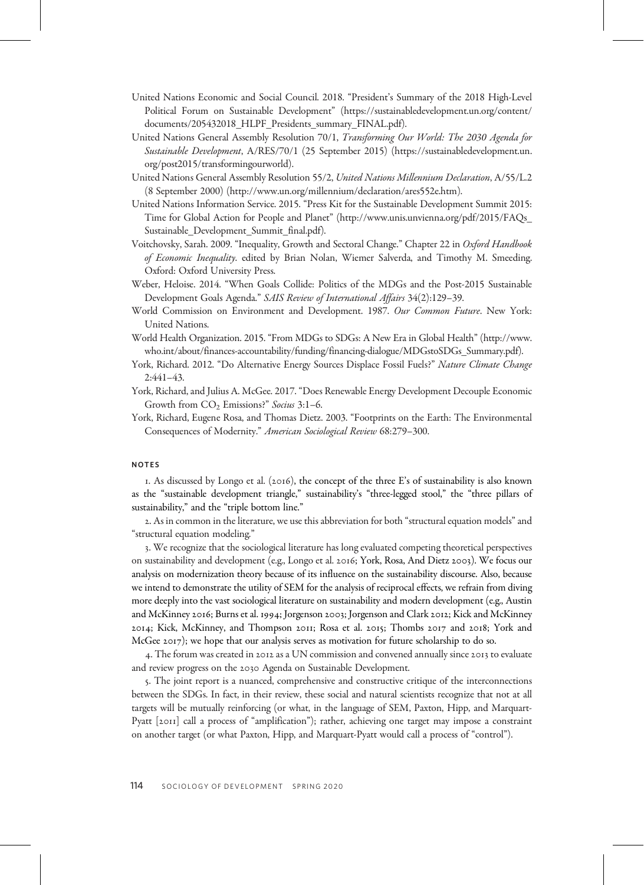- United Nations Economic and Social Council. 2018. "President's Summary of the 2018 High-Level Political Forum on Sustainable Development" [\(https://sustainabledevelopment.un.org/content/](https://sustainabledevelopment.un.org/content/documents/205432018_HLPF_Presidents_summary_FINAL.pdf) [documents/205432018\\_HLPF\\_Presidents\\_summary\\_FINAL.pdf](https://sustainabledevelopment.un.org/content/documents/205432018_HLPF_Presidents_summary_FINAL.pdf)).
- United Nations General Assembly Resolution 70/1, Transforming Our World: The 2030 Agenda for Sustainable Development, A/RES/70/1 (25 September 2015) [\(https://sustainabledevelopment.un.](https://sustainabledevelopment.un.org/post2015/transformingourworld) [org/post2015/transformingourworld](https://sustainabledevelopment.un.org/post2015/transformingourworld)).
- United Nations General Assembly Resolution 55/2, United Nations Millennium Declaration, A/55/L.2 (8 September 2000) (<http://www.un.org/millennium/declaration/ares552e.htm>).
- United Nations Information Service. 2015. "Press Kit for the Sustainable Development Summit 2015: Time for Global Action for People and Planet" [\(http://www.unis.unvienna.org/pdf/2015/FAQs\\_](http://www.unis.unvienna.org/pdf/2015/FAQs_Sustainable_Development_Summit_final.pdf) [Sustainable\\_Development\\_Summit\\_final.pdf](http://www.unis.unvienna.org/pdf/2015/FAQs_Sustainable_Development_Summit_final.pdf)).
- Voitchovsky, Sarah. 2009. "Inequality, Growth and Sectoral Change." Chapter 22 in Oxford Handbook of Economic Inequality. edited by Brian Nolan, Wiemer Salverda, and Timothy M. Smeeding. Oxford: Oxford University Press.
- Weber, Heloise. 2014. "When Goals Collide: Politics of the MDGs and the Post-2015 Sustainable Development Goals Agenda." SAIS Review of International Affairs 34(2):129–39.
- World Commission on Environment and Development. 1987. Our Common Future. New York: United Nations.
- World Health Organization. 2015. "From MDGs to SDGs: A New Era in Global Health" ([http://www.](http://www.who.int/about/finances-accountability/funding/financing-dialogue/MDGstoSDGs_Summary.pdf) [who.int/about/finances-accountability/funding/financing-dialogue/MDGstoSDGs\\_Summary.pdf\)](http://www.who.int/about/finances-accountability/funding/financing-dialogue/MDGstoSDGs_Summary.pdf).
- York, Richard. 2012. "Do Alternative Energy Sources Displace Fossil Fuels?" Nature Climate Change 2:441–43.
- York, Richard, and Julius A. McGee. 2017. "Does Renewable Energy Development Decouple Economic Growth from CO<sub>2</sub> Emissions?" Socius 3:1-6.
- York, Richard, Eugene Rosa, and Thomas Dietz. 2003. "Footprints on the Earth: The Environmental Consequences of Modernity." American Sociological Review 68:279–300.

## NOTES

1. As discussed by Longo et al. (2016), the concept of the three E's of sustainability is also known as the "sustainable development triangle," sustainability's "three-legged stool," the "three pillars of sustainability," and the "triple bottom line."

. As in common in the literature, we use this abbreviation for both "structural equation models"and "structural equation modeling."

. We recognize that the sociological literature has long evaluated competing theoretical perspectives on sustainability and development (e.g., Longo et al. 2016; York, Rosa, And Dietz 2003). We focus our analysis on modernization theory because of its influence on the sustainability discourse. Also, because we intend to demonstrate the utility of SEM for the analysis of reciprocal effects, we refrain from diving more deeply into the vast sociological literature on sustainability and modern development (e.g., Austin and McKinney 2016; Burns et al. 1994; Jorgenson 2003; Jorgenson and Clark 2012; Kick and McKinney 2014; Kick, McKinney, and Thompson 2011; Rosa et al. 2015; Thombs 2017 and 2018; York and McGee 2017); we hope that our analysis serves as motivation for future scholarship to do so.

4. The forum was created in 2012 as a UN commission and convened annually since 2013 to evaluate and review progress on the 2030 Agenda on Sustainable Development.

. The joint report is a nuanced, comprehensive and constructive critique of the interconnections between the SDGs. In fact, in their review, these social and natural scientists recognize that not at all targets will be mutually reinforcing (or what, in the language of SEM, Paxton, Hipp, and Marquart-Pyatt [2011] call a process of "amplification"); rather, achieving one target may impose a constraint on another target (or what Paxton, Hipp, and Marquart-Pyatt would call a process of "control").